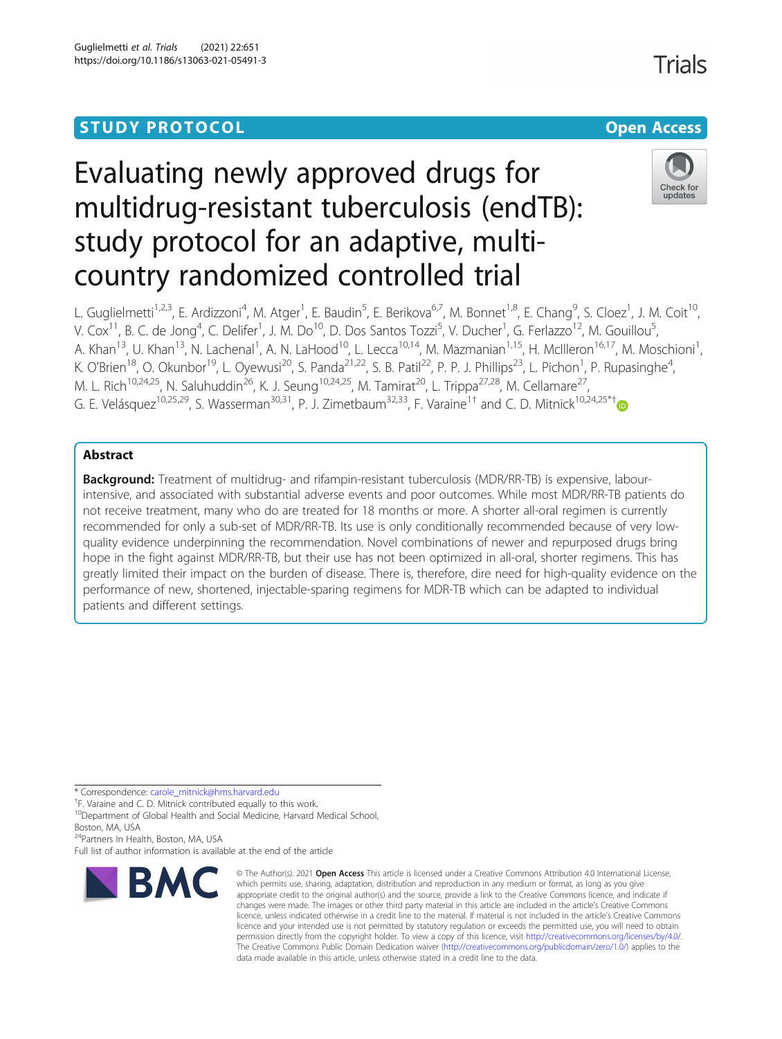## **STUDY PROTOCOL CONSUMING THE RESERVE ACCESS**

# Evaluating newly approved drugs for multidrug-resistant tuberculosis (endTB): study protocol for an adaptive, multicountry randomized controlled trial



L. Guglielmetti<sup>1,2,3</sup>, E. Ardizzoni<sup>4</sup>, M. Atger<sup>1</sup>, E. Baudin<sup>5</sup>, E. Berikova<sup>6,7</sup>, M. Bonnet<sup>1,8</sup>, E. Chang<sup>9</sup>, S. Cloez<sup>1</sup>, J. M. Coit<sup>10</sup>, V. Cox<sup>11</sup>, B. C. de Jong<sup>4</sup>, C. Delifer<sup>1</sup>, J. M. Do<sup>10</sup>, D. Dos Santos Tozzi<sup>5</sup>, V. Ducher<sup>1</sup>, G. Ferlazzo<sup>12</sup>, M. Gouillou<sup>5</sup> , A. Khan<sup>13</sup>, U. Khan<sup>13</sup>, N. Lachenal<sup>1</sup>, A. N. LaHood<sup>10</sup>, L. Lecca<sup>10,14</sup>, M. Mazmanian<sup>1,15</sup>, H. McIlleron<sup>16,17</sup>, M. Moschioni<sup>1</sup> , K. O'Brien<sup>18</sup>, O. Okunbor<sup>19</sup>, L. Oyewusi<sup>20</sup>, S. Panda<sup>21,22</sup>, S. B. Patil<sup>22</sup>, P. P. J. Phillips<sup>23</sup>, L. Pichon<sup>1</sup>, P. Rupasinghe<sup>4</sup> , M. L. Rich<sup>10,24,25</sup>, N. Saluhuddin<sup>26</sup>, K. J. Seung<sup>10,24,25</sup>, M. Tamirat<sup>20</sup>, L. Trippa<sup>27,28</sup>, M. Cellamare<sup>27</sup>, G. E. Velásquez<sup>10,25,29</sup>, S. Wasserman<sup>30,31</sup>, P. J. Zimetbaum<sup>32,33</sup>, F. Varaine<sup>1†</sup> and C. D. Mitnick<sup>10,24,25\*†</sup>

### Abstract

Background: Treatment of multidrug- and rifampin-resistant tuberculosis (MDR/RR-TB) is expensive, labourintensive, and associated with substantial adverse events and poor outcomes. While most MDR/RR-TB patients do not receive treatment, many who do are treated for 18 months or more. A shorter all-oral regimen is currently recommended for only a sub-set of MDR/RR-TB. Its use is only conditionally recommended because of very lowquality evidence underpinning the recommendation. Novel combinations of newer and repurposed drugs bring hope in the fight against MDR/RR-TB, but their use has not been optimized in all-oral, shorter regimens. This has greatly limited their impact on the burden of disease. There is, therefore, dire need for high-quality evidence on the performance of new, shortened, injectable-sparing regimens for MDR-TB which can be adapted to individual patients and different settings.

\* Correspondence: [carole\\_mitnick@hms.harvard.edu](mailto:carole_mitnick@hms.harvard.edu) †

<sup>†</sup>F. Varaine and C. D. Mitnick contributed equally to this work.

<sup>10</sup>Department of Global Health and Social Medicine, Harvard Medical School,

Boston, MA, USA

<sup>4</sup>Partners In Health, Boston, MA, USA

Full list of author information is available at the end of the article



© The Author(s), 2021 **Open Access** This article is licensed under a Creative Commons Attribution 4.0 International License, which permits use, sharing, adaptation, distribution and reproduction in any medium or format, as long as you give appropriate credit to the original author(s) and the source, provide a link to the Creative Commons licence, and indicate if changes were made. The images or other third party material in this article are included in the article's Creative Commons licence, unless indicated otherwise in a credit line to the material. If material is not included in the article's Creative Commons licence and your intended use is not permitted by statutory regulation or exceeds the permitted use, you will need to obtain permission directly from the copyright holder. To view a copy of this licence, visit [http://creativecommons.org/licenses/by/4.0/.](http://creativecommons.org/licenses/by/4.0/) The Creative Commons Public Domain Dedication waiver [\(http://creativecommons.org/publicdomain/zero/1.0/](http://creativecommons.org/publicdomain/zero/1.0/)) applies to the data made available in this article, unless otherwise stated in a credit line to the data.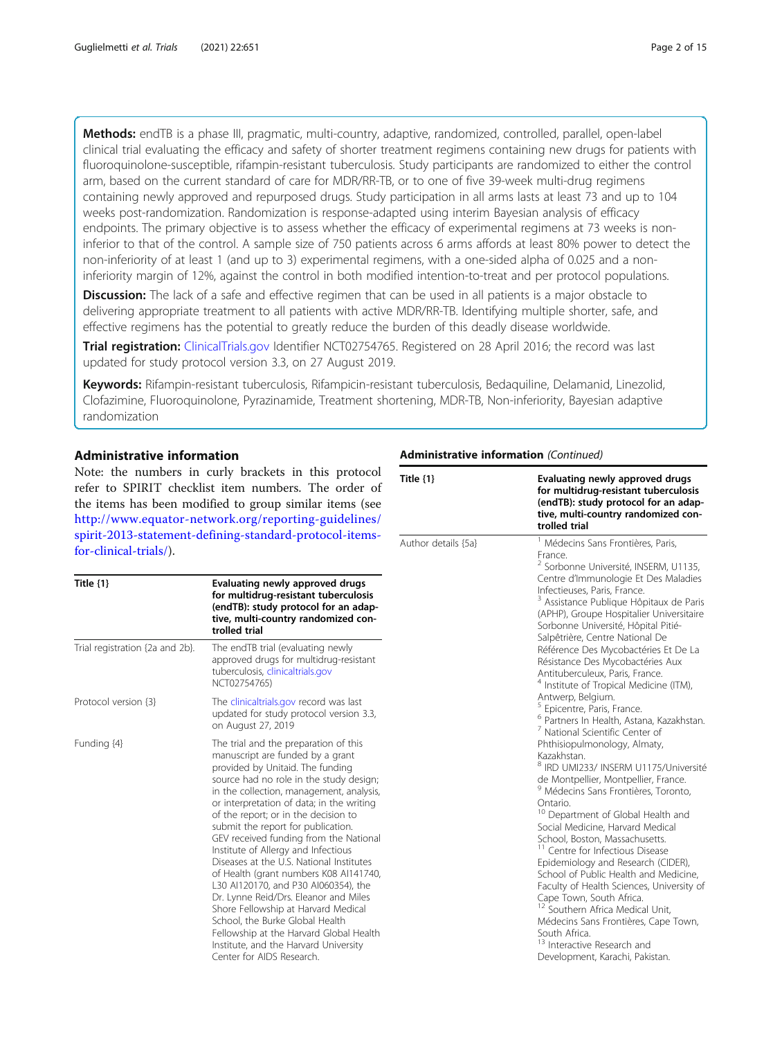Methods: endTB is a phase III, pragmatic, multi-country, adaptive, randomized, controlled, parallel, open-label clinical trial evaluating the efficacy and safety of shorter treatment regimens containing new drugs for patients with fluoroquinolone-susceptible, rifampin-resistant tuberculosis. Study participants are randomized to either the control arm, based on the current standard of care for MDR/RR-TB, or to one of five 39-week multi-drug regimens containing newly approved and repurposed drugs. Study participation in all arms lasts at least 73 and up to 104 weeks post-randomization. Randomization is response-adapted using interim Bayesian analysis of efficacy endpoints. The primary objective is to assess whether the efficacy of experimental regimens at 73 weeks is noninferior to that of the control. A sample size of 750 patients across 6 arms affords at least 80% power to detect the non-inferiority of at least 1 (and up to 3) experimental regimens, with a one-sided alpha of 0.025 and a noninferiority margin of 12%, against the control in both modified intention-to-treat and per protocol populations.

**Discussion:** The lack of a safe and effective regimen that can be used in all patients is a major obstacle to delivering appropriate treatment to all patients with active MDR/RR-TB. Identifying multiple shorter, safe, and effective regimens has the potential to greatly reduce the burden of this deadly disease worldwide.

Trial registration: [ClinicalTrials.gov](http://clinicaltrials.gov) Identifier NCT02754765. Registered on 28 April 2016; the record was last updated for study protocol version 3.3, on 27 August 2019.

Keywords: Rifampin-resistant tuberculosis, Rifampicin-resistant tuberculosis, Bedaquiline, Delamanid, Linezolid, Clofazimine, Fluoroquinolone, Pyrazinamide, Treatment shortening, MDR-TB, Non-inferiority, Bayesian adaptive randomization

#### Administrative information

Note: the numbers in curly brackets in this protocol refer to SPIRIT checklist item numbers. The order of the items has been modified to group similar items (see [http://www.equator-network.org/reporting-guidelines/](http://www.equator-network.org/reporting-guidelines/spirit-2013-statement-defining-standard-protocol-items-for-clinical-trials/) [spirit-2013-statement-defining-standard-protocol-items](http://www.equator-network.org/reporting-guidelines/spirit-2013-statement-defining-standard-protocol-items-for-clinical-trials/)[for-clinical-trials/](http://www.equator-network.org/reporting-guidelines/spirit-2013-statement-defining-standard-protocol-items-for-clinical-trials/)).

| Title $\{1\}$                   | Evaluating newly approved drugs<br>for multidrug-resistant tuberculosis<br>(endTB): study protocol for an adap-<br>tive, multi-country randomized con-<br>trolled trial                                                                                                                                                                                                                                                                                                                                                                                                                                                                                                                                                                                                            |
|---------------------------------|------------------------------------------------------------------------------------------------------------------------------------------------------------------------------------------------------------------------------------------------------------------------------------------------------------------------------------------------------------------------------------------------------------------------------------------------------------------------------------------------------------------------------------------------------------------------------------------------------------------------------------------------------------------------------------------------------------------------------------------------------------------------------------|
| Trial registration {2a and 2b}. | The endTB trial (evaluating newly<br>approved drugs for multidrug-resistant<br>tuberculosis, clinicaltrials.gov<br>NCT02754765)                                                                                                                                                                                                                                                                                                                                                                                                                                                                                                                                                                                                                                                    |
| Protocol version {3}            | The clinicaltrials.gov record was last<br>updated for study protocol version 3.3,<br>on August 27, 2019                                                                                                                                                                                                                                                                                                                                                                                                                                                                                                                                                                                                                                                                            |
| Funding {4}                     | The trial and the preparation of this<br>manuscript are funded by a grant<br>provided by Unitaid. The funding<br>source had no role in the study design;<br>in the collection, management, analysis,<br>or interpretation of data; in the writing<br>of the report; or in the decision to<br>submit the report for publication.<br>GEV received funding from the National<br>Institute of Allergy and Infectious<br>Diseases at the U.S. National Institutes<br>of Health (grant numbers K08 Al141740,<br>L30 Al120170, and P30 Al060354), the<br>Dr. Lynne Reid/Drs. Eleanor and Miles<br>Shore Fellowship at Harvard Medical<br>School, the Burke Global Health<br>Fellowship at the Harvard Global Health<br>Institute, and the Harvard University<br>Center for AIDS Research. |

#### Administrative information (Continued)

| Title $\{1\}$       | Evaluating newly approved drugs<br>for multidrug-resistant tuberculosis<br>(endTB): study protocol for an adap-<br>tive, multi-country randomized con-<br>trolled trial                                                                                                                                                                                                                                                                                                                                                                                                                                                                                                                                                                                                                                                                                                                                                                                                                                                                                                                                                                                                                                                                                                                                                                                                                        |
|---------------------|------------------------------------------------------------------------------------------------------------------------------------------------------------------------------------------------------------------------------------------------------------------------------------------------------------------------------------------------------------------------------------------------------------------------------------------------------------------------------------------------------------------------------------------------------------------------------------------------------------------------------------------------------------------------------------------------------------------------------------------------------------------------------------------------------------------------------------------------------------------------------------------------------------------------------------------------------------------------------------------------------------------------------------------------------------------------------------------------------------------------------------------------------------------------------------------------------------------------------------------------------------------------------------------------------------------------------------------------------------------------------------------------|
| Author details {5a} | Médecins Sans Frontières, Paris,<br>France.<br><sup>2</sup> Sorbonne Université, INSERM, U1135,<br>Centre d'Immunologie Et Des Maladies<br>Infectieuses, Paris, France.<br><sup>3</sup> Assistance Publique Hôpitaux de Paris<br>(APHP), Groupe Hospitalier Universitaire<br>Sorbonne Université, Hôpital Pitié-<br>Salpêtrière, Centre National De<br>Référence Des Mycobactéries Et De La<br>Résistance Des Mycobactéries Aux<br>Antituberculeux, Paris, France.<br><sup>4</sup> Institute of Tropical Medicine (ITM),<br>Antwerp, Belgium.<br><sup>5</sup> Epicentre, Paris, France.<br><sup>6</sup> Partners In Health, Astana, Kazakhstan.<br><sup>7</sup> National Scientific Center of<br>Phthisiopulmonology, Almaty,<br>Kazakhstan.<br><sup>8</sup> IRD UMI233/ INSERM U1175/Université<br>de Montpellier, Montpellier, France.<br><sup>9</sup> Médecins Sans Frontières, Toronto,<br>Ontario.<br>Department of Global Health and<br>Social Medicine, Harvard Medical<br>School, Boston, Massachusetts.<br><sup>11</sup> Centre for Infectious Disease<br>Epidemiology and Research (CIDER),<br>School of Public Health and Medicine,<br>Faculty of Health Sciences, University of<br>Cape Town, South Africa.<br>Southern Africa Medical Unit.<br>Médecins Sans Frontières, Cape Town,<br>South Africa.<br><sup>13</sup> Interactive Research and<br>Development, Karachi, Pakistan. |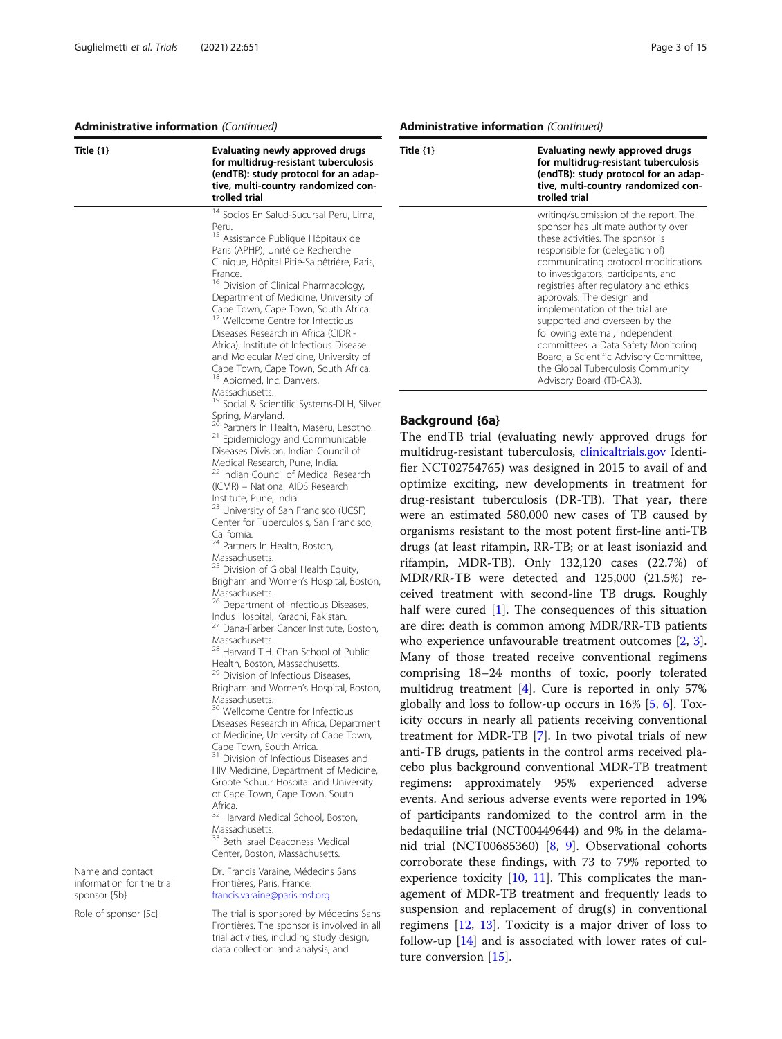#### Administrative information (Continued)

| Title {1}                                 | Evaluating newly approved drugs<br>for multidrug-resistant tuberculosis<br>(endTB): study protocol for an adap-<br>tive, multi-country randomized con-<br>trolled trial                                                                                                                                                                                                                                                                                                                                                                                                                                                                                                                                                                                                                                                                                                                                                                                                                                                                                                                                                                                                                                                                                                                                                                                                                                                                                                                                                                                                                                                                                                                                                                                                                                                                                                                                                                                                                                                                                                                                                                           |
|-------------------------------------------|---------------------------------------------------------------------------------------------------------------------------------------------------------------------------------------------------------------------------------------------------------------------------------------------------------------------------------------------------------------------------------------------------------------------------------------------------------------------------------------------------------------------------------------------------------------------------------------------------------------------------------------------------------------------------------------------------------------------------------------------------------------------------------------------------------------------------------------------------------------------------------------------------------------------------------------------------------------------------------------------------------------------------------------------------------------------------------------------------------------------------------------------------------------------------------------------------------------------------------------------------------------------------------------------------------------------------------------------------------------------------------------------------------------------------------------------------------------------------------------------------------------------------------------------------------------------------------------------------------------------------------------------------------------------------------------------------------------------------------------------------------------------------------------------------------------------------------------------------------------------------------------------------------------------------------------------------------------------------------------------------------------------------------------------------------------------------------------------------------------------------------------------------|
|                                           | <sup>14</sup> Socios En Salud-Sucursal Peru, Lima,<br>Peru.<br><sup>15</sup> Assistance Publique Hôpitaux de<br>Paris (APHP), Unité de Recherche<br>Clinique, Hôpital Pitié-Salpêtrière, Paris,<br>France.<br><sup>16</sup> Division of Clinical Pharmacology,<br>Department of Medicine, University of<br>Cape Town, Cape Town, South Africa.<br><sup>17</sup> Wellcome Centre for Infectious<br>Diseases Research in Africa (CIDRI-<br>Africa), Institute of Infectious Disease<br>and Molecular Medicine, University of<br>Cape Town, Cape Town, South Africa.<br><sup>18</sup> Abiomed, Inc. Danvers,<br>Massachusetts.<br><sup>19</sup> Social & Scientific Systems-DLH, Silver<br>Spring, Maryland.<br><sup>20</sup> Partners In Health, Maseru, Lesotho.<br><sup>21</sup> Epidemiology and Communicable<br>Diseases Division, Indian Council of<br>Medical Research, Pune, India.<br><sup>22</sup> Indian Council of Medical Research<br>(ICMR) - National AIDS Research<br>Institute, Pune, India.<br><sup>23</sup> University of San Francisco (UCSF)<br>Center for Tuberculosis, San Francisco,<br>California.<br><sup>24</sup> Partners In Health, Boston,<br>Massachusetts.<br><sup>25</sup> Division of Global Health Equity,<br>Brigham and Women's Hospital, Boston,<br>Massachusetts.<br><sup>26</sup> Department of Infectious Diseases,<br>Indus Hospital, Karachi, Pakistan.<br><sup>27</sup> Dana-Farber Cancer Institute, Boston,<br>Massachusetts.<br><sup>28</sup> Harvard T.H. Chan School of Public<br>Health, Boston, Massachusetts,<br><sup>29</sup> Division of Infectious Diseases,<br>Brigham and Women's Hospital, Boston,<br>Massachusetts.<br><sup>30</sup> Wellcome Centre for Infectious<br>Diseases Research in Africa, Department<br>of Medicine, University of Cape Town,<br>Cape Town, South Africa.<br><sup>31</sup> Division of Infectious Diseases and<br>HIV Medicine, Department of Medicine,<br>Groote Schuur Hospital and University<br>of Cape Town, Cape Town, South<br>Africa.<br><sup>32</sup> Harvard Medical School, Boston,<br>Massachusetts.<br><sup>33</sup> Beth Israel Deaconess Medical |
| Name and contact                          | Center, Boston, Massachusetts.<br>Dr. Francis Varaine, Médecins Sans                                                                                                                                                                                                                                                                                                                                                                                                                                                                                                                                                                                                                                                                                                                                                                                                                                                                                                                                                                                                                                                                                                                                                                                                                                                                                                                                                                                                                                                                                                                                                                                                                                                                                                                                                                                                                                                                                                                                                                                                                                                                              |
| information for the trial<br>sponsor {5b} | Frontières, Paris, France.<br>francis.varaine@paris.msf.org                                                                                                                                                                                                                                                                                                                                                                                                                                                                                                                                                                                                                                                                                                                                                                                                                                                                                                                                                                                                                                                                                                                                                                                                                                                                                                                                                                                                                                                                                                                                                                                                                                                                                                                                                                                                                                                                                                                                                                                                                                                                                       |
| Role of sponsor {5c}                      | The trial is sponsored by Médecins Sans<br>Frontières. The sponsor is involved in all                                                                                                                                                                                                                                                                                                                                                                                                                                                                                                                                                                                                                                                                                                                                                                                                                                                                                                                                                                                                                                                                                                                                                                                                                                                                                                                                                                                                                                                                                                                                                                                                                                                                                                                                                                                                                                                                                                                                                                                                                                                             |

trial activities, including study design, data collection and analysis, and

#### Administrative information (Continued)

| Title $\{1\}$ | Evaluating newly approved drugs<br>for multidrug-resistant tuberculosis<br>(endTB): study protocol for an adap-<br>tive, multi-country randomized con-<br>trolled trial                                                                                                                                                                                                                                                                                                                                                                                              |
|---------------|----------------------------------------------------------------------------------------------------------------------------------------------------------------------------------------------------------------------------------------------------------------------------------------------------------------------------------------------------------------------------------------------------------------------------------------------------------------------------------------------------------------------------------------------------------------------|
|               | writing/submission of the report. The<br>sponsor has ultimate authority over<br>these activities. The sponsor is<br>responsible for (delegation of)<br>communicating protocol modifications<br>to investigators, participants, and<br>registries after regulatory and ethics<br>approvals. The design and<br>implementation of the trial are<br>supported and overseen by the<br>following external, independent<br>committees: a Data Safety Monitoring<br>Board, a Scientific Advisory Committee,<br>the Global Tuberculosis Community<br>Advisory Board (TB-CAB). |

#### Background {6a}

The endTB trial (evaluating newly approved drugs for multidrug-resistant tuberculosis, [clinicaltrials.gov](http://clinicaltrials.gov) Identifier NCT02754765) was designed in 2015 to avail of and optimize exciting, new developments in treatment for drug-resistant tuberculosis (DR-TB). That year, there were an estimated 580,000 new cases of TB caused by organisms resistant to the most potent first-line anti-TB drugs (at least rifampin, RR-TB; or at least isoniazid and rifampin, MDR-TB). Only 132,120 cases (22.7%) of MDR/RR-TB were detected and 125,000 (21.5%) received treatment with second-line TB drugs. Roughly half were cured [[1](#page-12-0)]. The consequences of this situation are dire: death is common among MDR/RR-TB patients who experience unfavourable treatment outcomes [[2,](#page-12-0) [3](#page-12-0)]. Many of those treated receive conventional regimens comprising 18–24 months of toxic, poorly tolerated multidrug treatment [[4\]](#page-12-0). Cure is reported in only 57% globally and loss to follow-up occurs in 16% [[5,](#page-12-0) [6\]](#page-12-0). Toxicity occurs in nearly all patients receiving conventional treatment for MDR-TB [\[7](#page-12-0)]. In two pivotal trials of new anti-TB drugs, patients in the control arms received placebo plus background conventional MDR-TB treatment regimens: approximately 95% experienced adverse events. And serious adverse events were reported in 19% of participants randomized to the control arm in the bedaquiline trial (NCT00449644) and 9% in the delamanid trial (NCT00685360) [[8,](#page-12-0) [9\]](#page-12-0). Observational cohorts corroborate these findings, with 73 to 79% reported to experience toxicity  $[10, 11]$  $[10, 11]$  $[10, 11]$  $[10, 11]$ . This complicates the management of MDR-TB treatment and frequently leads to suspension and replacement of drug(s) in conventional regimens [\[12](#page-12-0), [13](#page-12-0)]. Toxicity is a major driver of loss to follow-up [[14](#page-12-0)] and is associated with lower rates of culture conversion [[15\]](#page-12-0).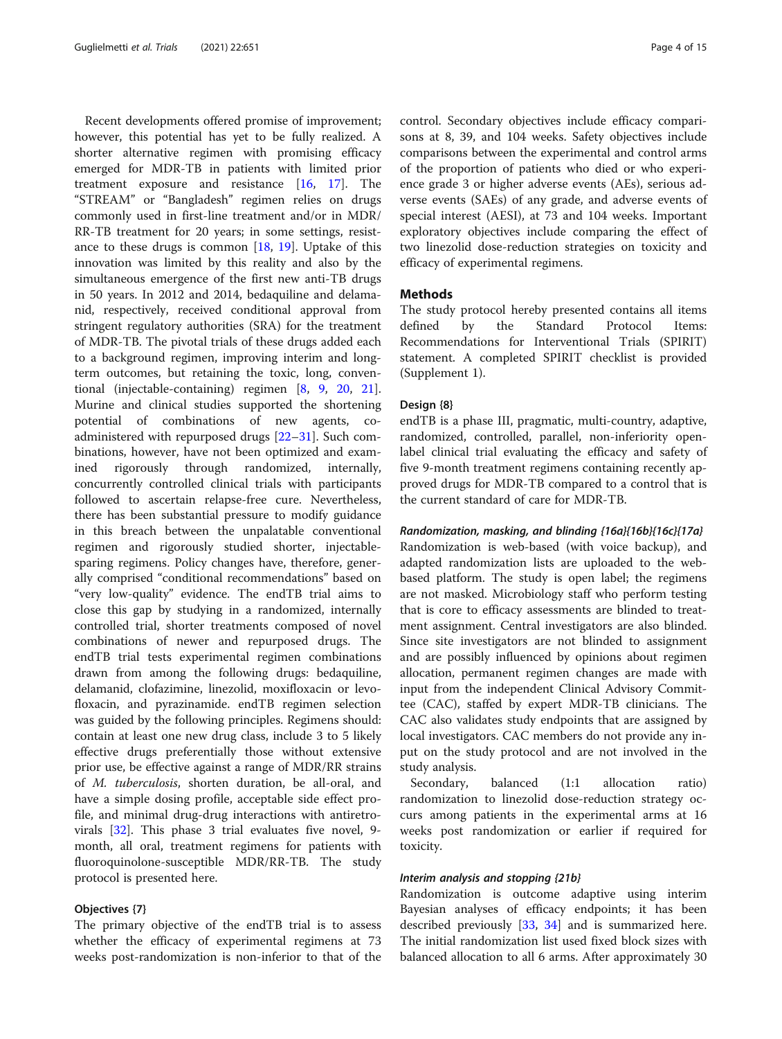Recent developments offered promise of improvement; however, this potential has yet to be fully realized. A shorter alternative regimen with promising efficacy emerged for MDR-TB in patients with limited prior treatment exposure and resistance [[16](#page-12-0), [17\]](#page-13-0). The "STREAM" or "Bangladesh" regimen relies on drugs commonly used in first-line treatment and/or in MDR/ RR-TB treatment for 20 years; in some settings, resistance to these drugs is common  $[18, 19]$  $[18, 19]$  $[18, 19]$ . Uptake of this innovation was limited by this reality and also by the simultaneous emergence of the first new anti-TB drugs in 50 years. In 2012 and 2014, bedaquiline and delamanid, respectively, received conditional approval from stringent regulatory authorities (SRA) for the treatment of MDR-TB. The pivotal trials of these drugs added each to a background regimen, improving interim and longterm outcomes, but retaining the toxic, long, conventional (injectable-containing) regimen [[8,](#page-12-0) [9,](#page-12-0) [20](#page-13-0), [21](#page-13-0)]. Murine and clinical studies supported the shortening potential of combinations of new agents, coadministered with repurposed drugs [\[22](#page-13-0)–[31\]](#page-13-0). Such combinations, however, have not been optimized and examined rigorously through randomized, internally, concurrently controlled clinical trials with participants followed to ascertain relapse-free cure. Nevertheless, there has been substantial pressure to modify guidance in this breach between the unpalatable conventional regimen and rigorously studied shorter, injectablesparing regimens. Policy changes have, therefore, generally comprised "conditional recommendations" based on "very low-quality" evidence. The endTB trial aims to close this gap by studying in a randomized, internally controlled trial, shorter treatments composed of novel combinations of newer and repurposed drugs. The endTB trial tests experimental regimen combinations drawn from among the following drugs: bedaquiline, delamanid, clofazimine, linezolid, moxifloxacin or levofloxacin, and pyrazinamide. endTB regimen selection was guided by the following principles. Regimens should: contain at least one new drug class, include 3 to 5 likely effective drugs preferentially those without extensive prior use, be effective against a range of MDR/RR strains of M. tuberculosis, shorten duration, be all-oral, and have a simple dosing profile, acceptable side effect profile, and minimal drug-drug interactions with antiretrovirals [[32](#page-13-0)]. This phase 3 trial evaluates five novel, 9 month, all oral, treatment regimens for patients with fluoroquinolone-susceptible MDR/RR-TB. The study protocol is presented here.

#### Objectives {7}

The primary objective of the endTB trial is to assess whether the efficacy of experimental regimens at 73 weeks post-randomization is non-inferior to that of the control. Secondary objectives include efficacy comparisons at 8, 39, and 104 weeks. Safety objectives include comparisons between the experimental and control arms of the proportion of patients who died or who experience grade 3 or higher adverse events (AEs), serious adverse events (SAEs) of any grade, and adverse events of special interest (AESI), at 73 and 104 weeks. Important exploratory objectives include comparing the effect of two linezolid dose-reduction strategies on toxicity and efficacy of experimental regimens.

#### Methods

The study protocol hereby presented contains all items defined by the Standard Protocol Items: Recommendations for Interventional Trials (SPIRIT) statement. A completed SPIRIT checklist is provided (Supplement 1).

#### Design {8}

endTB is a phase III, pragmatic, multi-country, adaptive, randomized, controlled, parallel, non-inferiority openlabel clinical trial evaluating the efficacy and safety of five 9-month treatment regimens containing recently approved drugs for MDR-TB compared to a control that is the current standard of care for MDR-TB.

#### Randomization, masking, and blinding {16a}{16b}{16c}{17a}

Randomization is web-based (with voice backup), and adapted randomization lists are uploaded to the webbased platform. The study is open label; the regimens are not masked. Microbiology staff who perform testing that is core to efficacy assessments are blinded to treatment assignment. Central investigators are also blinded. Since site investigators are not blinded to assignment and are possibly influenced by opinions about regimen allocation, permanent regimen changes are made with input from the independent Clinical Advisory Committee (CAC), staffed by expert MDR-TB clinicians. The CAC also validates study endpoints that are assigned by local investigators. CAC members do not provide any input on the study protocol and are not involved in the study analysis.

Secondary, balanced (1:1 allocation ratio) randomization to linezolid dose-reduction strategy occurs among patients in the experimental arms at 16 weeks post randomization or earlier if required for toxicity.

#### Interim analysis and stopping {21b}

Randomization is outcome adaptive using interim Bayesian analyses of efficacy endpoints; it has been described previously [[33,](#page-13-0) [34\]](#page-13-0) and is summarized here. The initial randomization list used fixed block sizes with balanced allocation to all 6 arms. After approximately 30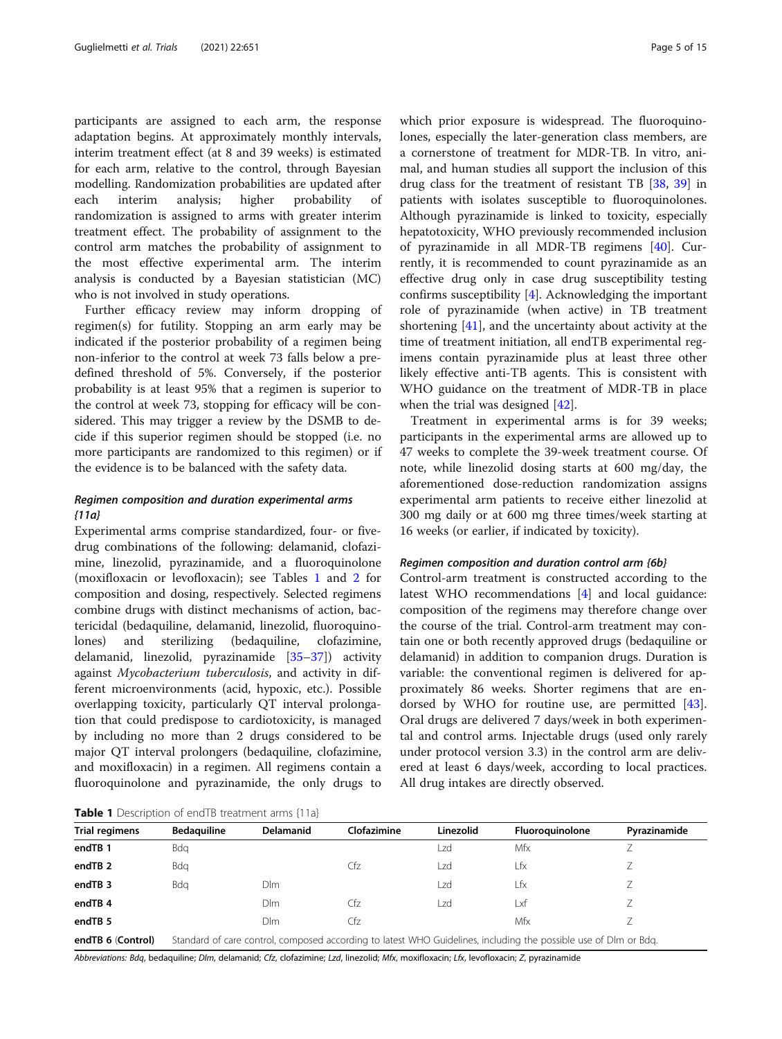participants are assigned to each arm, the response adaptation begins. At approximately monthly intervals, interim treatment effect (at 8 and 39 weeks) is estimated for each arm, relative to the control, through Bayesian modelling. Randomization probabilities are updated after each interim analysis; higher probability of randomization is assigned to arms with greater interim treatment effect. The probability of assignment to the control arm matches the probability of assignment to the most effective experimental arm. The interim analysis is conducted by a Bayesian statistician (MC) who is not involved in study operations.

Further efficacy review may inform dropping of regimen(s) for futility. Stopping an arm early may be indicated if the posterior probability of a regimen being non-inferior to the control at week 73 falls below a predefined threshold of 5%. Conversely, if the posterior probability is at least 95% that a regimen is superior to the control at week 73, stopping for efficacy will be considered. This may trigger a review by the DSMB to decide if this superior regimen should be stopped (i.e. no more participants are randomized to this regimen) or if the evidence is to be balanced with the safety data.

#### Regimen composition and duration experimental arms {11a}

Experimental arms comprise standardized, four- or fivedrug combinations of the following: delamanid, clofazimine, linezolid, pyrazinamide, and a fluoroquinolone (moxifloxacin or levofloxacin); see Tables 1 and [2](#page-5-0) for composition and dosing, respectively. Selected regimens combine drugs with distinct mechanisms of action, bactericidal (bedaquiline, delamanid, linezolid, fluoroquinolones) and sterilizing (bedaquiline, clofazimine, delamanid, linezolid, pyrazinamide [\[35](#page-13-0)–[37\]](#page-13-0)) activity against Mycobacterium tuberculosis, and activity in different microenvironments (acid, hypoxic, etc.). Possible overlapping toxicity, particularly QT interval prolongation that could predispose to cardiotoxicity, is managed by including no more than 2 drugs considered to be major QT interval prolongers (bedaquiline, clofazimine, and moxifloxacin) in a regimen. All regimens contain a fluoroquinolone and pyrazinamide, the only drugs to

Control-arm treatment is constructed according to the latest WHO recommendations [[4\]](#page-12-0) and local guidance: composition of the regimens may therefore change over the course of the trial. Control-arm treatment may contain one or both recently approved drugs (bedaquiline or delamanid) in addition to companion drugs. Duration is variable: the conventional regimen is delivered for approximately 86 weeks. Shorter regimens that are endorsed by WHO for routine use, are permitted [\[43](#page-13-0)]. Oral drugs are delivered 7 days/week in both experimental and control arms. Injectable drugs (used only rarely under protocol version 3.3) in the control arm are delivered at least 6 days/week, according to local practices. All drug intakes are directly observed.

Table 1 Description of endTR treatment arms {11a}

|                       | <b>I WINTE I</b> DESCRIPTION OF CHOID GEOGRAPHS CHING [110] |                  |             |           |                                                                                                                  |              |
|-----------------------|-------------------------------------------------------------|------------------|-------------|-----------|------------------------------------------------------------------------------------------------------------------|--------------|
| <b>Trial regimens</b> | <b>Bedaguiline</b>                                          | <b>Delamanid</b> | Clofazimine | Linezolid | Fluoroguinolone                                                                                                  | Pyrazinamide |
| endTB 1               | Bda                                                         |                  |             | LZd       | Mfx                                                                                                              |              |
| endTB <sub>2</sub>    | Bda                                                         |                  | Cfz         | Lzd       | Lfx                                                                                                              |              |
| endTB <sub>3</sub>    | Bda                                                         | Dlm.             |             | l 7d      | Lfx                                                                                                              |              |
| endTB 4               |                                                             | Dlm              | Cfz         | Lzd       | Lxf                                                                                                              |              |
| endTB <sub>5</sub>    |                                                             | Dlm              | Cfz         |           | Mfx                                                                                                              |              |
| endTB 6 (Control)     |                                                             |                  |             |           | Standard of care control, composed according to latest WHO Guidelines, including the possible use of Dlm or Bdg. |              |

Abbreviations: Bdq, bedaquiline; Dlm, delamanid; Cfz, clofazimine; Lzd, linezolid; Mfx, moxifloxacin; Lfx, levofloxacin; Z, pyrazinamide

which prior exposure is widespread. The fluoroquinolones, especially the later-generation class members, are a cornerstone of treatment for MDR-TB. In vitro, animal, and human studies all support the inclusion of this drug class for the treatment of resistant TB [[38](#page-13-0), [39](#page-13-0)] in patients with isolates susceptible to fluoroquinolones. Although pyrazinamide is linked to toxicity, especially hepatotoxicity, WHO previously recommended inclusion of pyrazinamide in all MDR-TB regimens [\[40](#page-13-0)]. Currently, it is recommended to count pyrazinamide as an effective drug only in case drug susceptibility testing confirms susceptibility [[4\]](#page-12-0). Acknowledging the important role of pyrazinamide (when active) in TB treatment shortening [[41](#page-13-0)], and the uncertainty about activity at the time of treatment initiation, all endTB experimental regimens contain pyrazinamide plus at least three other likely effective anti-TB agents. This is consistent with WHO guidance on the treatment of MDR-TB in place when the trial was designed [[42](#page-13-0)].

Treatment in experimental arms is for 39 weeks; participants in the experimental arms are allowed up to 47 weeks to complete the 39-week treatment course. Of note, while linezolid dosing starts at 600 mg/day, the aforementioned dose-reduction randomization assigns experimental arm patients to receive either linezolid at 300 mg daily or at 600 mg three times/week starting at 16 weeks (or earlier, if indicated by toxicity).

#### Regimen composition and duration control arm {6b}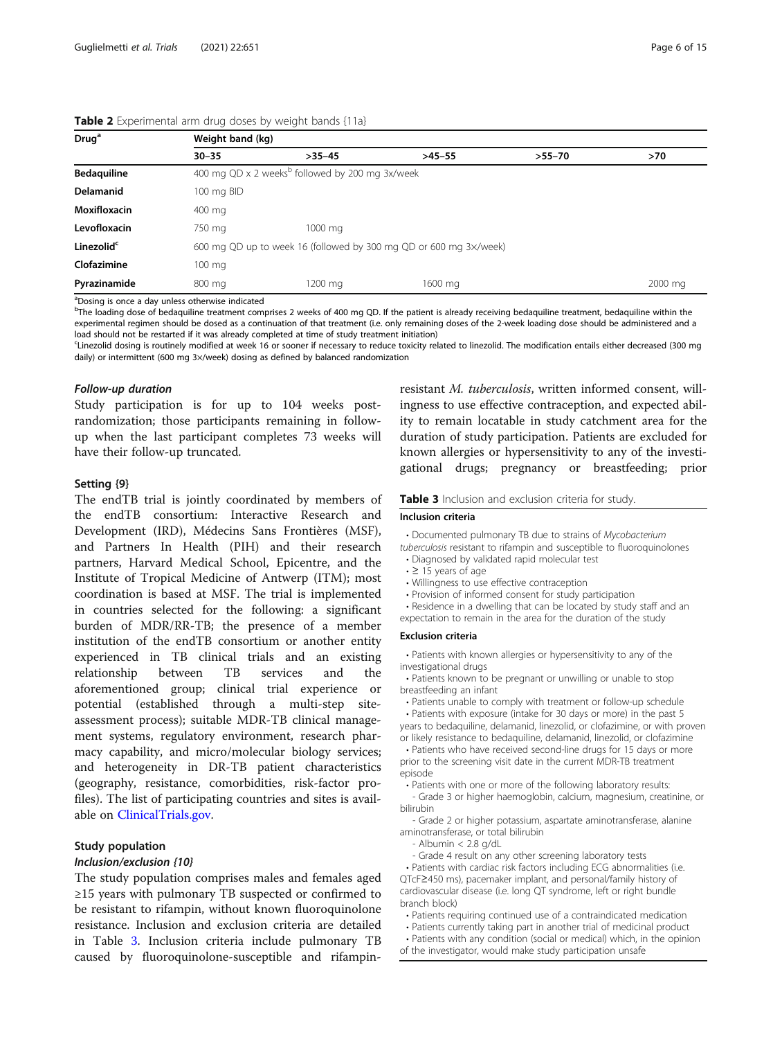| Drug <sup>a</sup>      | Weight band (kg) |                                                                   |          |          |         |  |  |  |
|------------------------|------------------|-------------------------------------------------------------------|----------|----------|---------|--|--|--|
|                        | $30 - 35$        | $>35-45$                                                          | $>45-55$ | $>55-70$ | >70     |  |  |  |
| <b>Bedaquiline</b>     |                  | 400 mg QD x 2 weeks <sup>b</sup> followed by 200 mg 3x/week       |          |          |         |  |  |  |
| <b>Delamanid</b>       | 100 mg BID       |                                                                   |          |          |         |  |  |  |
| Moxifloxacin           | 400 mg           |                                                                   |          |          |         |  |  |  |
| Levofloxacin           | 750 mg           | 1000 mg                                                           |          |          |         |  |  |  |
| Linezolid <sup>c</sup> |                  | 600 mg QD up to week 16 (followed by 300 mg QD or 600 mg 3x/week) |          |          |         |  |  |  |
| Clofazimine            | $100 \text{ mg}$ |                                                                   |          |          |         |  |  |  |
| Pyrazinamide           | 800 mg           | 1200 ma                                                           | 1600 mg  |          | 2000 mg |  |  |  |

<span id="page-5-0"></span>Table 2 Experimental arm drug doses by weight bands {11a}

<sup>a</sup>Dosing is once a day unless otherwise indicated

b<br><sup>b</sup>The loading dose of bedaquiline treatment comprises 2 weeks of 400 mg QD. If the patient is already receiving bedaquiline treatment, bedaquiline within the experimental regimen should be dosed as a continuation of that treatment (i.e. only remaining doses of the 2-week loading dose should be administered and a load should not be restarted if it was already completed at time of study treatment initiation)

c Linezolid dosing is routinely modified at week 16 or sooner if necessary to reduce toxicity related to linezolid. The modification entails either decreased (300 mg daily) or intermittent (600 mg 3×/week) dosing as defined by balanced randomization

#### Follow-up duration

Study participation is for up to 104 weeks postrandomization; those participants remaining in followup when the last participant completes 73 weeks will have their follow-up truncated.

#### Setting {9}

The endTB trial is jointly coordinated by members of the endTB consortium: Interactive Research and Development (IRD), Médecins Sans Frontières (MSF), and Partners In Health (PIH) and their research partners, Harvard Medical School, Epicentre, and the Institute of Tropical Medicine of Antwerp (ITM); most coordination is based at MSF. The trial is implemented in countries selected for the following: a significant burden of MDR/RR-TB; the presence of a member institution of the endTB consortium or another entity experienced in TB clinical trials and an existing relationship between TB services and the aforementioned group; clinical trial experience or potential (established through a multi-step siteassessment process); suitable MDR-TB clinical management systems, regulatory environment, research pharmacy capability, and micro/molecular biology services; and heterogeneity in DR-TB patient characteristics (geography, resistance, comorbidities, risk-factor profiles). The list of participating countries and sites is available on [ClinicalTrials.gov.](http://clinicaltrials.gov)

#### Study population

#### Inclusion/exclusion {10}

The study population comprises males and females aged ≥15 years with pulmonary TB suspected or confirmed to be resistant to rifampin, without known fluoroquinolone resistance. Inclusion and exclusion criteria are detailed in Table 3. Inclusion criteria include pulmonary TB caused by fluoroquinolone-susceptible and rifampinresistant M. tuberculosis, written informed consent, willingness to use effective contraception, and expected ability to remain locatable in study catchment area for the duration of study participation. Patients are excluded for known allergies or hypersensitivity to any of the investigational drugs; pregnancy or breastfeeding; prior

#### Table 3 Inclusion and exclusion criteria for study.

#### Inclusion criteria

• Documented pulmonary TB due to strains of Mycobacterium

tuberculosis resistant to rifampin and susceptible to fluoroquinolones • Diagnosed by validated rapid molecular test

- ≥ 15 years of age
- Willingness to use effective contraception
- 
- Provision of informed consent for study participation • Residence in a dwelling that can be located by study staff and an

expectation to remain in the area for the duration of the study

#### Exclusion criteria

• Patients with known allergies or hypersensitivity to any of the investigational drugs

• Patients known to be pregnant or unwilling or unable to stop breastfeeding an infant

• Patients unable to comply with treatment or follow-up schedule • Patients with exposure (intake for 30 days or more) in the past 5 years to bedaquiline, delamanid, linezolid, or clofazimine, or with proven

or likely resistance to bedaquiline, delamanid, linezolid, or clofazimine • Patients who have received second-line drugs for 15 days or more prior to the screening visit date in the current MDR-TB treatment

episode • Patients with one or more of the following laboratory results:

- Grade 3 or higher haemoglobin, calcium, magnesium, creatinine, or bilirubin

- Grade 2 or higher potassium, aspartate aminotransferase, alanine aminotransferase, or total bilirubin

- Albumin < 2.8 g/dL

- Grade 4 result on any other screening laboratory tests

• Patients with cardiac risk factors including ECG abnormalities (i.e. QTcF≥450 ms), pacemaker implant, and personal/family history of cardiovascular disease (i.e. long QT syndrome, left or right bundle branch block)

• Patients requiring continued use of a contraindicated medication

• Patients currently taking part in another trial of medicinal product

• Patients with any condition (social or medical) which, in the opinion of the investigator, would make study participation unsafe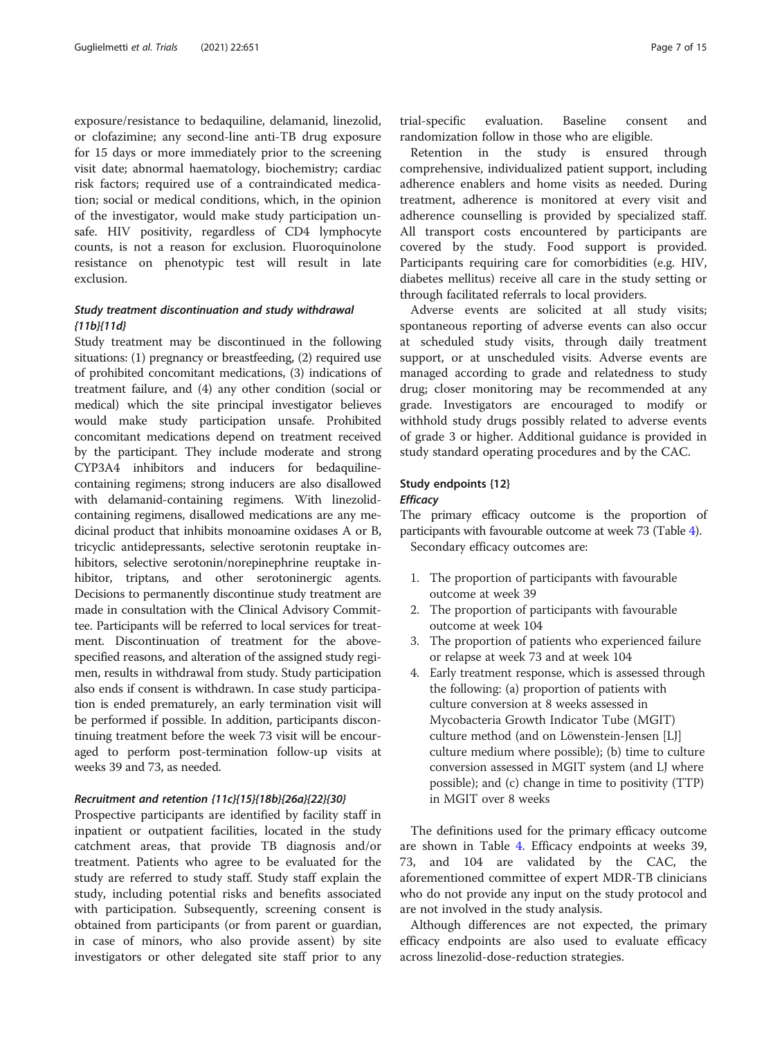exposure/resistance to bedaquiline, delamanid, linezolid, or clofazimine; any second-line anti-TB drug exposure for 15 days or more immediately prior to the screening visit date; abnormal haematology, biochemistry; cardiac risk factors; required use of a contraindicated medication; social or medical conditions, which, in the opinion of the investigator, would make study participation unsafe. HIV positivity, regardless of CD4 lymphocyte counts, is not a reason for exclusion. Fluoroquinolone resistance on phenotypic test will result in late exclusion.

#### Study treatment discontinuation and study withdrawal {11b}{11d}

Study treatment may be discontinued in the following situations: (1) pregnancy or breastfeeding, (2) required use of prohibited concomitant medications, (3) indications of treatment failure, and (4) any other condition (social or medical) which the site principal investigator believes would make study participation unsafe. Prohibited concomitant medications depend on treatment received by the participant. They include moderate and strong CYP3A4 inhibitors and inducers for bedaquilinecontaining regimens; strong inducers are also disallowed with delamanid-containing regimens. With linezolidcontaining regimens, disallowed medications are any medicinal product that inhibits monoamine oxidases A or B, tricyclic antidepressants, selective serotonin reuptake inhibitors, selective serotonin/norepinephrine reuptake inhibitor, triptans, and other serotoninergic agents. Decisions to permanently discontinue study treatment are made in consultation with the Clinical Advisory Committee. Participants will be referred to local services for treatment. Discontinuation of treatment for the abovespecified reasons, and alteration of the assigned study regimen, results in withdrawal from study. Study participation also ends if consent is withdrawn. In case study participation is ended prematurely, an early termination visit will be performed if possible. In addition, participants discontinuing treatment before the week 73 visit will be encouraged to perform post-termination follow-up visits at weeks 39 and 73, as needed.

#### Recruitment and retention {11c}{15}{18b}{26a}{22}{30}

Prospective participants are identified by facility staff in inpatient or outpatient facilities, located in the study catchment areas, that provide TB diagnosis and/or treatment. Patients who agree to be evaluated for the study are referred to study staff. Study staff explain the study, including potential risks and benefits associated with participation. Subsequently, screening consent is obtained from participants (or from parent or guardian, in case of minors, who also provide assent) by site investigators or other delegated site staff prior to any

trial-specific evaluation. Baseline consent and randomization follow in those who are eligible.

Retention in the study is ensured through comprehensive, individualized patient support, including adherence enablers and home visits as needed. During treatment, adherence is monitored at every visit and adherence counselling is provided by specialized staff. All transport costs encountered by participants are covered by the study. Food support is provided. Participants requiring care for comorbidities (e.g. HIV, diabetes mellitus) receive all care in the study setting or through facilitated referrals to local providers.

Adverse events are solicited at all study visits; spontaneous reporting of adverse events can also occur at scheduled study visits, through daily treatment support, or at unscheduled visits. Adverse events are managed according to grade and relatedness to study drug; closer monitoring may be recommended at any grade. Investigators are encouraged to modify or withhold study drugs possibly related to adverse events of grade 3 or higher. Additional guidance is provided in study standard operating procedures and by the CAC.

#### Study endpoints {12} **Efficacy**

The primary efficacy outcome is the proportion of participants with favourable outcome at week 73 (Table [4\)](#page-7-0). Secondary efficacy outcomes are:

- 1. The proportion of participants with favourable outcome at week 39
- 2. The proportion of participants with favourable outcome at week 104
- 3. The proportion of patients who experienced failure or relapse at week 73 and at week 104
- 4. Early treatment response, which is assessed through the following: (a) proportion of patients with culture conversion at 8 weeks assessed in Mycobacteria Growth Indicator Tube (MGIT) culture method (and on Löwenstein-Jensen [LJ] culture medium where possible); (b) time to culture conversion assessed in MGIT system (and LJ where possible); and (c) change in time to positivity (TTP) in MGIT over 8 weeks

The definitions used for the primary efficacy outcome are shown in Table [4.](#page-7-0) Efficacy endpoints at weeks 39, 73, and 104 are validated by the CAC, the aforementioned committee of expert MDR-TB clinicians who do not provide any input on the study protocol and are not involved in the study analysis.

Although differences are not expected, the primary efficacy endpoints are also used to evaluate efficacy across linezolid-dose-reduction strategies.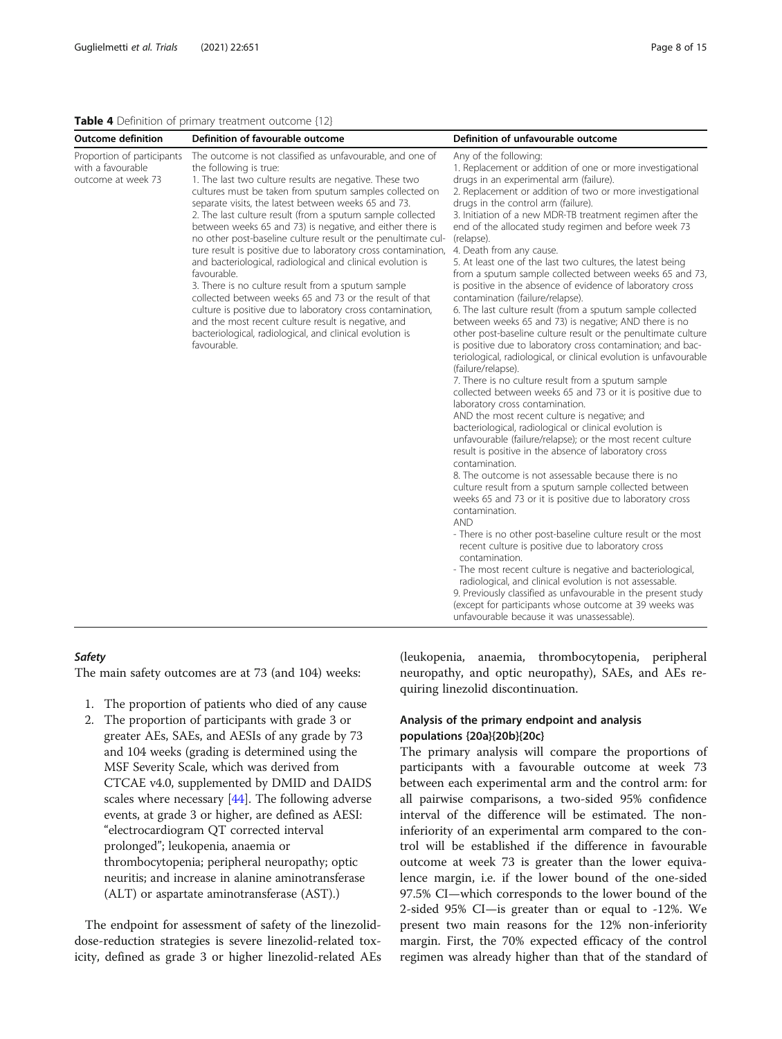#### <span id="page-7-0"></span>Table 4 Definition of primary treatment outcome {12}

| <b>Outcome definition</b>                                             | Definition of favourable outcome                                                                                                                                                                                                                                                                                                                                                                                                                                                                                                                                                                                                                                                                                                                                                                                                                                                                                               | Definition of unfavourable outcome                                                                                                                                                                                                                                                                                                                                                                                                                                                                                                                                                                                                                                                                                                                                                                                                                                                                                                                                                                                                                                                                                                                                                                                                                                                                                                                                                                                                                                                                                                                                                                                                                                                                                                                                                                                                                                                                                                                                                                                                               |
|-----------------------------------------------------------------------|--------------------------------------------------------------------------------------------------------------------------------------------------------------------------------------------------------------------------------------------------------------------------------------------------------------------------------------------------------------------------------------------------------------------------------------------------------------------------------------------------------------------------------------------------------------------------------------------------------------------------------------------------------------------------------------------------------------------------------------------------------------------------------------------------------------------------------------------------------------------------------------------------------------------------------|--------------------------------------------------------------------------------------------------------------------------------------------------------------------------------------------------------------------------------------------------------------------------------------------------------------------------------------------------------------------------------------------------------------------------------------------------------------------------------------------------------------------------------------------------------------------------------------------------------------------------------------------------------------------------------------------------------------------------------------------------------------------------------------------------------------------------------------------------------------------------------------------------------------------------------------------------------------------------------------------------------------------------------------------------------------------------------------------------------------------------------------------------------------------------------------------------------------------------------------------------------------------------------------------------------------------------------------------------------------------------------------------------------------------------------------------------------------------------------------------------------------------------------------------------------------------------------------------------------------------------------------------------------------------------------------------------------------------------------------------------------------------------------------------------------------------------------------------------------------------------------------------------------------------------------------------------------------------------------------------------------------------------------------------------|
| Proportion of participants<br>with a favourable<br>outcome at week 73 | The outcome is not classified as unfavourable, and one of<br>the following is true:<br>1. The last two culture results are negative. These two<br>cultures must be taken from sputum samples collected on<br>separate visits, the latest between weeks 65 and 73.<br>2. The last culture result (from a sputum sample collected<br>between weeks 65 and 73) is negative, and either there is<br>no other post-baseline culture result or the penultimate cul-<br>ture result is positive due to laboratory cross contamination,<br>and bacteriological, radiological and clinical evolution is<br>favourable.<br>3. There is no culture result from a sputum sample<br>collected between weeks 65 and 73 or the result of that<br>culture is positive due to laboratory cross contamination,<br>and the most recent culture result is negative, and<br>bacteriological, radiological, and clinical evolution is<br>favourable. | Any of the following:<br>1. Replacement or addition of one or more investigational<br>drugs in an experimental arm (failure).<br>2. Replacement or addition of two or more investigational<br>drugs in the control arm (failure).<br>3. Initiation of a new MDR-TB treatment regimen after the<br>end of the allocated study regimen and before week 73<br>(relapse).<br>4. Death from any cause.<br>5. At least one of the last two cultures, the latest being<br>from a sputum sample collected between weeks 65 and 73,<br>is positive in the absence of evidence of laboratory cross<br>contamination (failure/relapse).<br>6. The last culture result (from a sputum sample collected<br>between weeks 65 and 73) is negative; AND there is no<br>other post-baseline culture result or the penultimate culture<br>is positive due to laboratory cross contamination; and bac-<br>teriological, radiological, or clinical evolution is unfavourable<br>(failure/relapse).<br>7. There is no culture result from a sputum sample<br>collected between weeks 65 and 73 or it is positive due to<br>laboratory cross contamination.<br>AND the most recent culture is negative; and<br>bacteriological, radiological or clinical evolution is<br>unfavourable (failure/relapse); or the most recent culture<br>result is positive in the absence of laboratory cross<br>contamination.<br>8. The outcome is not assessable because there is no<br>culture result from a sputum sample collected between<br>weeks 65 and 73 or it is positive due to laboratory cross<br>contamination.<br><b>AND</b><br>- There is no other post-baseline culture result or the most<br>recent culture is positive due to laboratory cross<br>contamination.<br>- The most recent culture is negative and bacteriological,<br>radiological, and clinical evolution is not assessable.<br>9. Previously classified as unfavourable in the present study<br>(except for participants whose outcome at 39 weeks was<br>unfavourable because it was unassessable). |

#### **Safety**

The main safety outcomes are at 73 (and 104) weeks:

- 1. The proportion of patients who died of any cause
- 2. The proportion of participants with grade 3 or greater AEs, SAEs, and AESIs of any grade by 73 and 104 weeks (grading is determined using the MSF Severity Scale, which was derived from CTCAE v4.0, supplemented by DMID and DAIDS scales where necessary  $[44]$  $[44]$  $[44]$ . The following adverse events, at grade 3 or higher, are defined as AESI: "electrocardiogram QT corrected interval prolonged"; leukopenia, anaemia or thrombocytopenia; peripheral neuropathy; optic neuritis; and increase in alanine aminotransferase (ALT) or aspartate aminotransferase (AST).)

The endpoint for assessment of safety of the linezoliddose-reduction strategies is severe linezolid-related toxicity, defined as grade 3 or higher linezolid-related AEs (leukopenia, anaemia, thrombocytopenia, peripheral neuropathy, and optic neuropathy), SAEs, and AEs requiring linezolid discontinuation.

#### Analysis of the primary endpoint and analysis populations {20a}{20b}{20c}

The primary analysis will compare the proportions of participants with a favourable outcome at week 73 between each experimental arm and the control arm: for all pairwise comparisons, a two-sided 95% confidence interval of the difference will be estimated. The noninferiority of an experimental arm compared to the control will be established if the difference in favourable outcome at week 73 is greater than the lower equivalence margin, i.e. if the lower bound of the one-sided 97.5% CI—which corresponds to the lower bound of the 2-sided 95% CI—is greater than or equal to -12%. We present two main reasons for the 12% non-inferiority margin. First, the 70% expected efficacy of the control regimen was already higher than that of the standard of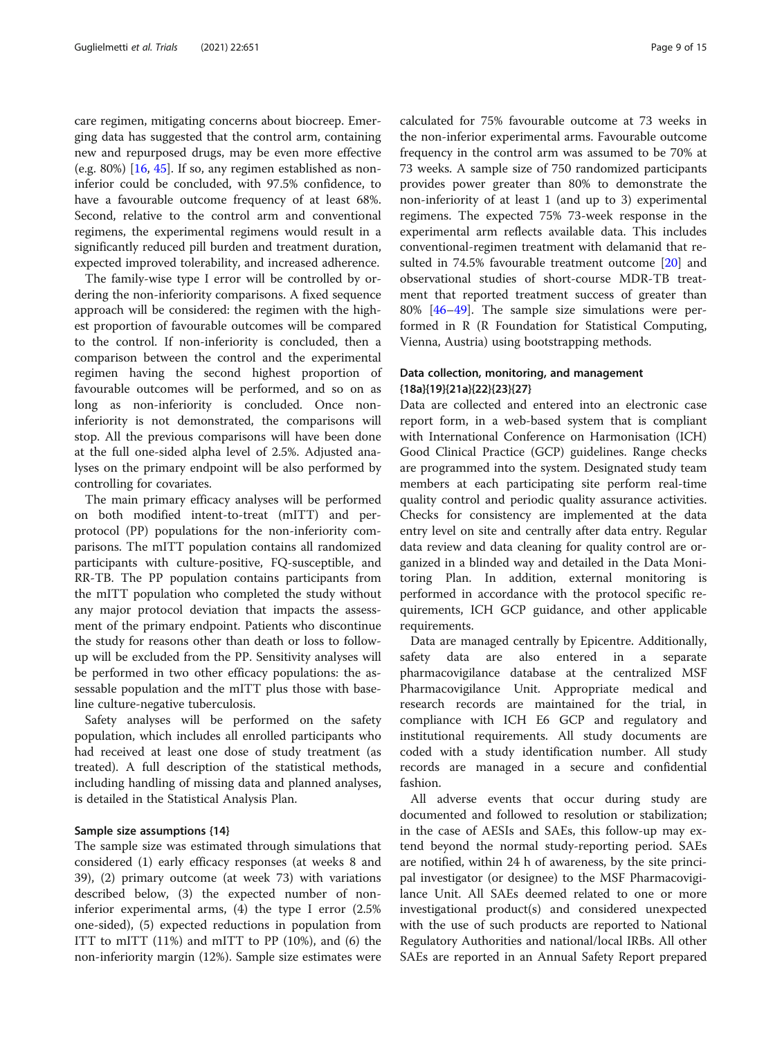care regimen, mitigating concerns about biocreep. Emerging data has suggested that the control arm, containing new and repurposed drugs, may be even more effective (e.g. 80%)  $[16, 45]$  $[16, 45]$  $[16, 45]$  $[16, 45]$ . If so, any regimen established as noninferior could be concluded, with 97.5% confidence, to have a favourable outcome frequency of at least 68%. Second, relative to the control arm and conventional regimens, the experimental regimens would result in a significantly reduced pill burden and treatment duration, expected improved tolerability, and increased adherence.

The family-wise type I error will be controlled by ordering the non-inferiority comparisons. A fixed sequence approach will be considered: the regimen with the highest proportion of favourable outcomes will be compared to the control. If non-inferiority is concluded, then a comparison between the control and the experimental regimen having the second highest proportion of favourable outcomes will be performed, and so on as long as non-inferiority is concluded. Once noninferiority is not demonstrated, the comparisons will stop. All the previous comparisons will have been done at the full one-sided alpha level of 2.5%. Adjusted analyses on the primary endpoint will be also performed by controlling for covariates.

The main primary efficacy analyses will be performed on both modified intent-to-treat (mITT) and perprotocol (PP) populations for the non-inferiority comparisons. The mITT population contains all randomized participants with culture-positive, FQ-susceptible, and RR-TB. The PP population contains participants from the mITT population who completed the study without any major protocol deviation that impacts the assessment of the primary endpoint. Patients who discontinue the study for reasons other than death or loss to followup will be excluded from the PP. Sensitivity analyses will be performed in two other efficacy populations: the assessable population and the mITT plus those with baseline culture-negative tuberculosis.

Safety analyses will be performed on the safety population, which includes all enrolled participants who had received at least one dose of study treatment (as treated). A full description of the statistical methods, including handling of missing data and planned analyses, is detailed in the Statistical Analysis Plan.

#### Sample size assumptions {14}

The sample size was estimated through simulations that considered (1) early efficacy responses (at weeks 8 and 39), (2) primary outcome (at week 73) with variations described below, (3) the expected number of noninferior experimental arms, (4) the type I error (2.5% one-sided), (5) expected reductions in population from ITT to mITT (11%) and mITT to PP (10%), and (6) the non-inferiority margin (12%). Sample size estimates were calculated for 75% favourable outcome at 73 weeks in the non-inferior experimental arms. Favourable outcome frequency in the control arm was assumed to be 70% at 73 weeks. A sample size of 750 randomized participants provides power greater than 80% to demonstrate the non-inferiority of at least 1 (and up to 3) experimental regimens. The expected 75% 73-week response in the experimental arm reflects available data. This includes conventional-regimen treatment with delamanid that resulted in 74.5% favourable treatment outcome [\[20](#page-13-0)] and observational studies of short-course MDR-TB treatment that reported treatment success of greater than 80% [\[46](#page-13-0)–[49\]](#page-13-0). The sample size simulations were performed in R (R Foundation for Statistical Computing, Vienna, Austria) using bootstrapping methods.

#### Data collection, monitoring, and management {18a}{19}{21a}{22}{23}{27}

Data are collected and entered into an electronic case report form, in a web-based system that is compliant with International Conference on Harmonisation (ICH) Good Clinical Practice (GCP) guidelines. Range checks are programmed into the system. Designated study team members at each participating site perform real-time quality control and periodic quality assurance activities. Checks for consistency are implemented at the data entry level on site and centrally after data entry. Regular data review and data cleaning for quality control are organized in a blinded way and detailed in the Data Monitoring Plan. In addition, external monitoring is performed in accordance with the protocol specific requirements, ICH GCP guidance, and other applicable requirements.

Data are managed centrally by Epicentre. Additionally, safety data are also entered in a separate pharmacovigilance database at the centralized MSF Pharmacovigilance Unit. Appropriate medical and research records are maintained for the trial, in compliance with ICH E6 GCP and regulatory and institutional requirements. All study documents are coded with a study identification number. All study records are managed in a secure and confidential fashion.

All adverse events that occur during study are documented and followed to resolution or stabilization; in the case of AESIs and SAEs, this follow-up may extend beyond the normal study-reporting period. SAEs are notified, within 24 h of awareness, by the site principal investigator (or designee) to the MSF Pharmacovigilance Unit. All SAEs deemed related to one or more investigational product(s) and considered unexpected with the use of such products are reported to National Regulatory Authorities and national/local IRBs. All other SAEs are reported in an Annual Safety Report prepared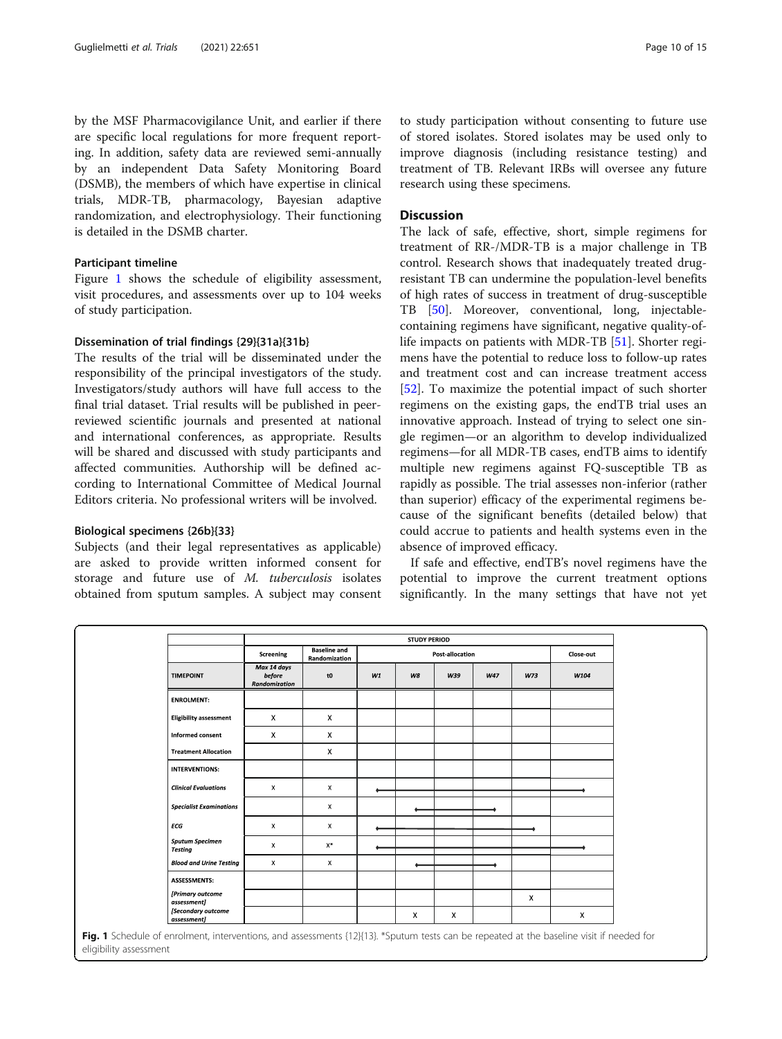by the MSF Pharmacovigilance Unit, and earlier if there are specific local regulations for more frequent reporting. In addition, safety data are reviewed semi-annually by an independent Data Safety Monitoring Board (DSMB), the members of which have expertise in clinical trials, MDR-TB, pharmacology, Bayesian adaptive randomization, and electrophysiology. Their functioning is detailed in the DSMB charter.

#### Participant timeline

Figure 1 shows the schedule of eligibility assessment, visit procedures, and assessments over up to 104 weeks of study participation.

#### Dissemination of trial findings {29}{31a}{31b}

The results of the trial will be disseminated under the responsibility of the principal investigators of the study. Investigators/study authors will have full access to the final trial dataset. Trial results will be published in peerreviewed scientific journals and presented at national and international conferences, as appropriate. Results will be shared and discussed with study participants and affected communities. Authorship will be defined according to International Committee of Medical Journal Editors criteria. No professional writers will be involved.

#### Biological specimens {26b}{33}

Subjects (and their legal representatives as applicable) are asked to provide written informed consent for storage and future use of M. tuberculosis isolates obtained from sputum samples. A subject may consent

to study participation without consenting to future use of stored isolates. Stored isolates may be used only to improve diagnosis (including resistance testing) and treatment of TB. Relevant IRBs will oversee any future research using these specimens.

#### **Discussion**

The lack of safe, effective, short, simple regimens for treatment of RR-/MDR-TB is a major challenge in TB control. Research shows that inadequately treated drugresistant TB can undermine the population-level benefits of high rates of success in treatment of drug-susceptible TB [\[50\]](#page-13-0). Moreover, conventional, long, injectablecontaining regimens have significant, negative quality-oflife impacts on patients with MDR-TB [\[51](#page-13-0)]. Shorter regimens have the potential to reduce loss to follow-up rates and treatment cost and can increase treatment access [[52\]](#page-13-0). To maximize the potential impact of such shorter regimens on the existing gaps, the endTB trial uses an innovative approach. Instead of trying to select one single regimen—or an algorithm to develop individualized regimens—for all MDR-TB cases, endTB aims to identify multiple new regimens against FQ-susceptible TB as rapidly as possible. The trial assesses non-inferior (rather than superior) efficacy of the experimental regimens because of the significant benefits (detailed below) that could accrue to patients and health systems even in the absence of improved efficacy.

If safe and effective, endTB's novel regimens have the potential to improve the current treatment options significantly. In the many settings that have not yet

|                                          | Screening                              | <b>Baseline and</b><br>Randomization | <b>STUDY PERIOD</b><br>Post-allocation |    |     |     | Close-out |      |
|------------------------------------------|----------------------------------------|--------------------------------------|----------------------------------------|----|-----|-----|-----------|------|
| <b>TIMEPOINT</b>                         | Max 14 days<br>before<br>Randomization | tO                                   | W1                                     | W8 | W39 | W47 | W73       | W104 |
| <b>ENROLMENT:</b>                        |                                        |                                      |                                        |    |     |     |           |      |
| <b>Eligibility assessment</b>            | X                                      | $\boldsymbol{\mathsf{X}}$            |                                        |    |     |     |           |      |
| Informed consent                         | X                                      | $\mathsf{X}$                         |                                        |    |     |     |           |      |
| <b>Treatment Allocation</b>              |                                        | $\mathsf{x}$                         |                                        |    |     |     |           |      |
| <b>INTERVENTIONS:</b>                    |                                        |                                      |                                        |    |     |     |           |      |
| <b>Clinical Evaluations</b>              | X                                      | x                                    |                                        |    |     |     |           |      |
| <b>Specialist Examinations</b>           |                                        | $\mathsf{x}$                         |                                        |    |     |     |           |      |
| ECG                                      | $\mathsf{X}$                           | $\mathsf{x}$                         |                                        |    |     |     |           |      |
| <b>Sputum Specimen</b><br><b>Testing</b> | X                                      | $\mathsf{X}^*$                       |                                        |    |     |     |           |      |
| <b>Blood and Urine Testing</b>           | $\mathsf{X}$                           | X                                    |                                        |    |     |     |           |      |
| <b>ASSESSMENTS:</b>                      |                                        |                                      |                                        |    |     |     |           |      |
| [Primary outcome<br>assessment]          |                                        |                                      |                                        |    |     |     | X         |      |
| [Secondary outcome<br>assessment]        |                                        |                                      |                                        | Χ  | X   |     |           | X    |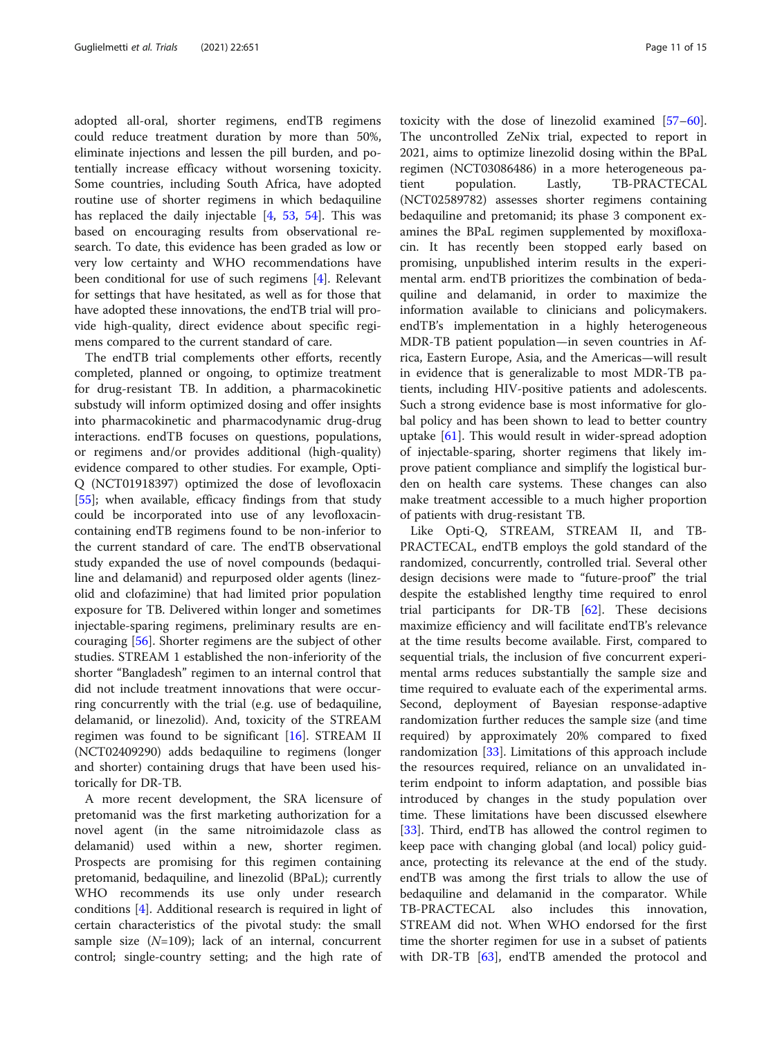adopted all-oral, shorter regimens, endTB regimens could reduce treatment duration by more than 50%, eliminate injections and lessen the pill burden, and potentially increase efficacy without worsening toxicity. Some countries, including South Africa, have adopted routine use of shorter regimens in which bedaquiline has replaced the daily injectable [\[4](#page-12-0), [53](#page-13-0), [54](#page-13-0)]. This was based on encouraging results from observational research. To date, this evidence has been graded as low or very low certainty and WHO recommendations have been conditional for use of such regimens [[4](#page-12-0)]. Relevant for settings that have hesitated, as well as for those that have adopted these innovations, the endTB trial will provide high-quality, direct evidence about specific regimens compared to the current standard of care.

The endTB trial complements other efforts, recently completed, planned or ongoing, to optimize treatment for drug-resistant TB. In addition, a pharmacokinetic substudy will inform optimized dosing and offer insights into pharmacokinetic and pharmacodynamic drug-drug interactions. endTB focuses on questions, populations, or regimens and/or provides additional (high-quality) evidence compared to other studies. For example, Opti-Q (NCT01918397) optimized the dose of levofloxacin [[55\]](#page-13-0); when available, efficacy findings from that study could be incorporated into use of any levofloxacincontaining endTB regimens found to be non-inferior to the current standard of care. The endTB observational study expanded the use of novel compounds (bedaquiline and delamanid) and repurposed older agents (linezolid and clofazimine) that had limited prior population exposure for TB. Delivered within longer and sometimes injectable-sparing regimens, preliminary results are encouraging [\[56\]](#page-14-0). Shorter regimens are the subject of other studies. STREAM 1 established the non-inferiority of the shorter "Bangladesh" regimen to an internal control that did not include treatment innovations that were occurring concurrently with the trial (e.g. use of bedaquiline, delamanid, or linezolid). And, toxicity of the STREAM regimen was found to be significant [\[16](#page-12-0)]. STREAM II (NCT02409290) adds bedaquiline to regimens (longer and shorter) containing drugs that have been used historically for DR-TB.

A more recent development, the SRA licensure of pretomanid was the first marketing authorization for a novel agent (in the same nitroimidazole class as delamanid) used within a new, shorter regimen. Prospects are promising for this regimen containing pretomanid, bedaquiline, and linezolid (BPaL); currently WHO recommends its use only under research conditions [[4\]](#page-12-0). Additional research is required in light of certain characteristics of the pivotal study: the small sample size  $(N=109)$ ; lack of an internal, concurrent control; single-country setting; and the high rate of

toxicity with the dose of linezolid examined [[57](#page-14-0)–[60](#page-14-0)]. The uncontrolled ZeNix trial, expected to report in 2021, aims to optimize linezolid dosing within the BPaL regimen (NCT03086486) in a more heterogeneous patient population. Lastly, TB-PRACTECAL (NCT02589782) assesses shorter regimens containing bedaquiline and pretomanid; its phase 3 component examines the BPaL regimen supplemented by moxifloxacin. It has recently been stopped early based on promising, unpublished interim results in the experimental arm. endTB prioritizes the combination of bedaquiline and delamanid, in order to maximize the information available to clinicians and policymakers. endTB's implementation in a highly heterogeneous MDR-TB patient population—in seven countries in Africa, Eastern Europe, Asia, and the Americas—will result in evidence that is generalizable to most MDR-TB patients, including HIV-positive patients and adolescents. Such a strong evidence base is most informative for global policy and has been shown to lead to better country uptake [[61\]](#page-14-0). This would result in wider-spread adoption of injectable-sparing, shorter regimens that likely improve patient compliance and simplify the logistical burden on health care systems. These changes can also make treatment accessible to a much higher proportion of patients with drug-resistant TB.

Like Opti-Q, STREAM, STREAM II, and TB-PRACTECAL, endTB employs the gold standard of the randomized, concurrently, controlled trial. Several other design decisions were made to "future-proof" the trial despite the established lengthy time required to enrol trial participants for DR-TB [[62](#page-14-0)]. These decisions maximize efficiency and will facilitate endTB's relevance at the time results become available. First, compared to sequential trials, the inclusion of five concurrent experimental arms reduces substantially the sample size and time required to evaluate each of the experimental arms. Second, deployment of Bayesian response-adaptive randomization further reduces the sample size (and time required) by approximately 20% compared to fixed randomization [[33](#page-13-0)]. Limitations of this approach include the resources required, reliance on an unvalidated interim endpoint to inform adaptation, and possible bias introduced by changes in the study population over time. These limitations have been discussed elsewhere [[33\]](#page-13-0). Third, endTB has allowed the control regimen to keep pace with changing global (and local) policy guidance, protecting its relevance at the end of the study. endTB was among the first trials to allow the use of bedaquiline and delamanid in the comparator. While TB-PRACTECAL also includes this innovation, STREAM did not. When WHO endorsed for the first time the shorter regimen for use in a subset of patients with DR-TB [[63\]](#page-14-0), endTB amended the protocol and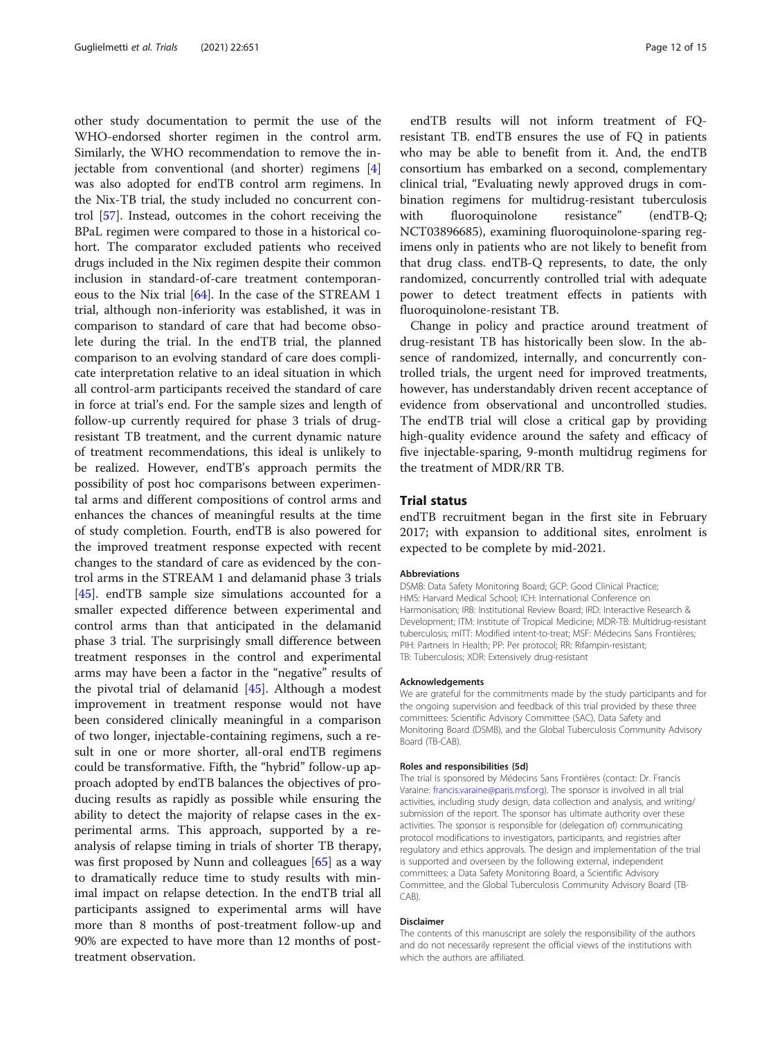other study documentation to permit the use of the WHO-endorsed shorter regimen in the control arm. Similarly, the WHO recommendation to remove the injectable from conventional (and shorter) regimens [\[4](#page-12-0)] was also adopted for endTB control arm regimens. In the Nix-TB trial, the study included no concurrent control [\[57](#page-14-0)]. Instead, outcomes in the cohort receiving the BPaL regimen were compared to those in a historical cohort. The comparator excluded patients who received drugs included in the Nix regimen despite their common inclusion in standard-of-care treatment contemporaneous to the Nix trial [[64\]](#page-14-0). In the case of the STREAM 1 trial, although non-inferiority was established, it was in comparison to standard of care that had become obsolete during the trial. In the endTB trial, the planned comparison to an evolving standard of care does complicate interpretation relative to an ideal situation in which all control-arm participants received the standard of care in force at trial's end. For the sample sizes and length of follow-up currently required for phase 3 trials of drugresistant TB treatment, and the current dynamic nature of treatment recommendations, this ideal is unlikely to be realized. However, endTB's approach permits the possibility of post hoc comparisons between experimental arms and different compositions of control arms and enhances the chances of meaningful results at the time of study completion. Fourth, endTB is also powered for the improved treatment response expected with recent changes to the standard of care as evidenced by the control arms in the STREAM 1 and delamanid phase 3 trials [[45\]](#page-13-0). endTB sample size simulations accounted for a smaller expected difference between experimental and control arms than that anticipated in the delamanid phase 3 trial. The surprisingly small difference between treatment responses in the control and experimental arms may have been a factor in the "negative" results of the pivotal trial of delamanid [\[45](#page-13-0)]. Although a modest improvement in treatment response would not have been considered clinically meaningful in a comparison of two longer, injectable-containing regimens, such a result in one or more shorter, all-oral endTB regimens could be transformative. Fifth, the "hybrid" follow-up approach adopted by endTB balances the objectives of producing results as rapidly as possible while ensuring the ability to detect the majority of relapse cases in the experimental arms. This approach, supported by a reanalysis of relapse timing in trials of shorter TB therapy, was first proposed by Nunn and colleagues [\[65\]](#page-14-0) as a way to dramatically reduce time to study results with minimal impact on relapse detection. In the endTB trial all participants assigned to experimental arms will have more than 8 months of post-treatment follow-up and 90% are expected to have more than 12 months of posttreatment observation.

endTB results will not inform treatment of FQresistant TB. endTB ensures the use of FQ in patients who may be able to benefit from it. And, the endTB consortium has embarked on a second, complementary clinical trial, "Evaluating newly approved drugs in combination regimens for multidrug-resistant tuberculosis with fluoroquinolone resistance" (endTB-Q; NCT03896685), examining fluoroquinolone-sparing regimens only in patients who are not likely to benefit from that drug class. endTB-Q represents, to date, the only randomized, concurrently controlled trial with adequate power to detect treatment effects in patients with fluoroquinolone-resistant TB.

Change in policy and practice around treatment of drug-resistant TB has historically been slow. In the absence of randomized, internally, and concurrently controlled trials, the urgent need for improved treatments, however, has understandably driven recent acceptance of evidence from observational and uncontrolled studies. The endTB trial will close a critical gap by providing high-quality evidence around the safety and efficacy of five injectable-sparing, 9-month multidrug regimens for the treatment of MDR/RR TB.

#### Trial status

endTB recruitment began in the first site in February 2017; with expansion to additional sites, enrolment is expected to be complete by mid-2021.

#### Abbreviations

DSMB: Data Safety Monitoring Board; GCP: Good Clinical Practice; HMS: Harvard Medical School; ICH: International Conference on Harmonisation; IRB: Institutional Review Board; IRD: Interactive Research & Development; ITM: Institute of Tropical Medicine; MDR-TB: Multidrug-resistant tuberculosis; mITT: Modified intent-to-treat; MSF: Médecins Sans Frontières; PIH: Partners In Health; PP: Per protocol; RR: Rifampin-resistant; TB: Tuberculosis; XDR: Extensively drug-resistant

#### Acknowledgements

We are grateful for the commitments made by the study participants and for the ongoing supervision and feedback of this trial provided by these three committees: Scientific Advisory Committee (SAC), Data Safety and Monitoring Board (DSMB), and the Global Tuberculosis Community Advisory Board (TB-CAB).

#### Roles and responsibilities {5d}

The trial is sponsored by Médecins Sans Frontières (contact: Dr. Francis Varaine: [francis.varaine@paris.msf.org\)](mailto:francis.varaine@paris.msf.org). The sponsor is involved in all trial activities, including study design, data collection and analysis, and writing/ submission of the report. The sponsor has ultimate authority over these activities. The sponsor is responsible for (delegation of) communicating protocol modifications to investigators, participants, and registries after regulatory and ethics approvals. The design and implementation of the trial is supported and overseen by the following external, independent committees: a Data Safety Monitoring Board, a Scientific Advisory Committee, and the Global Tuberculosis Community Advisory Board (TB-CAB)

#### Disclaimer

The contents of this manuscript are solely the responsibility of the authors and do not necessarily represent the official views of the institutions with which the authors are affiliated.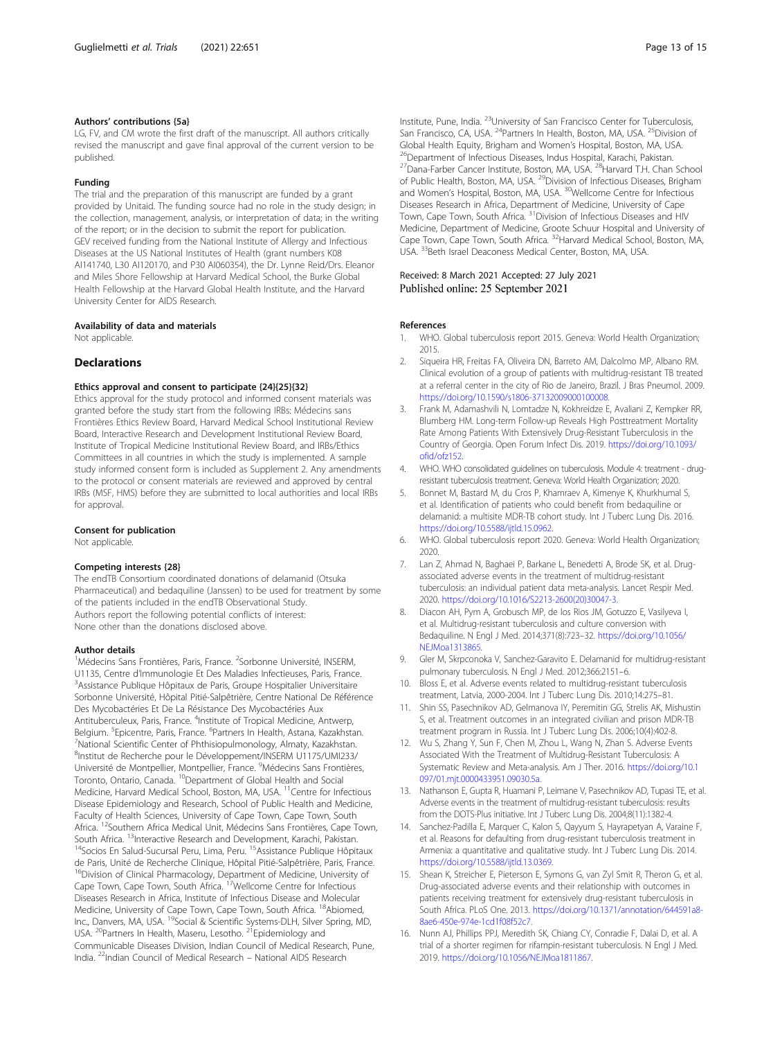#### <span id="page-12-0"></span>Authors' contributions {5a}

LG, FV, and CM wrote the first draft of the manuscript. All authors critically revised the manuscript and gave final approval of the current version to be published.

#### Funding

The trial and the preparation of this manuscript are funded by a grant provided by Unitaid. The funding source had no role in the study design; in the collection, management, analysis, or interpretation of data; in the writing of the report; or in the decision to submit the report for publication. GEV received funding from the National Institute of Allergy and Infectious Diseases at the US National Institutes of Health (grant numbers K08 AI141740, L30 AI120170, and P30 AI060354), the Dr. Lynne Reid/Drs. Eleanor and Miles Shore Fellowship at Harvard Medical School, the Burke Global Health Fellowship at the Harvard Global Health Institute, and the Harvard University Center for AIDS Research.

#### Availability of data and materials

Not applicable.

#### **Declarations**

#### Ethics approval and consent to participate {24}{25}{32}

Ethics approval for the study protocol and informed consent materials was granted before the study start from the following IRBs: Médecins sans Frontières Ethics Review Board, Harvard Medical School Institutional Review Board, Interactive Research and Development Institutional Review Board, Institute of Tropical Medicine Institutional Review Board, and IRBs/Ethics Committees in all countries in which the study is implemented. A sample study informed consent form is included as Supplement 2. Any amendments to the protocol or consent materials are reviewed and approved by central IRBs (MSF, HMS) before they are submitted to local authorities and local IRBs for approval.

#### Consent for publication

Not applicable.

#### Competing interests {28}

The endTB Consortium coordinated donations of delamanid (Otsuka Pharmaceutical) and bedaquiline (Janssen) to be used for treatment by some of the patients included in the endTB Observational Study. Authors report the following potential conflicts of interest: None other than the donations disclosed above.

#### Author details

<sup>1</sup>Médecins Sans Frontières, Paris, France. <sup>2</sup>Sorbonne Université, INSERM, U1135, Centre d'Immunologie Et Des Maladies Infectieuses, Paris, France. <sup>3</sup> <sup>3</sup> Assistance Publique Hôpitaux de Paris, Groupe Hospitalier Universitaire Sorbonne Université, Hôpital Pitié-Salpêtrière, Centre National De Référence Des Mycobactéries Et De La Résistance Des Mycobactéries Aux Antituberculeux, Paris, France. <sup>4</sup>Institute of Tropical Medicine, Antwerp, Belgium. <sup>5</sup>Epicentre, Paris, France. <sup>6</sup>Partners In Health, Astana, Kazakhstan.<br><sup>7</sup>National Scientific Conter of Phthicianulmonology, Almaty Kazakhstan. National Scientific Center of Phthisiopulmonology, Almaty, Kazakhstan. 8 Institut de Recherche pour le Développement/INSERM U1175/UMI233/ Université de Montpellier, Montpellier, France. <sup>9</sup>Médecins Sans Frontières, Toronto, Ontario, Canada. 10Department of Global Health and Social Medicine, Harvard Medical School, Boston, MA, USA. <sup>11</sup>Centre for Infectious Disease Epidemiology and Research, School of Public Health and Medicine, Faculty of Health Sciences, University of Cape Town, Cape Town, South Africa. <sup>12</sup>Southern Africa Medical Unit, Médecins Sans Frontières, Cape Town, South Africa. <sup>13</sup>Interactive Research and Development, Karachi, Pakistan.<br><sup>14</sup>Socios En Salud-Sucursal Peru, Lima, Peru. <sup>15</sup>Assistance Publique Hôpitaux de Paris, Unité de Recherche Clinique, Hôpital Pitié-Salpêtrière, Paris, France. <sup>16</sup>Division of Clinical Pharmacology, Department of Medicine, University of Cape Town, Cape Town, South Africa. <sup>17</sup>Wellcome Centre for Infectious Diseases Research in Africa, Institute of Infectious Disease and Molecular Medicine, University of Cape Town, Cape Town, South Africa. <sup>18</sup>Abiomed, Inc., Danvers, MA, USA. <sup>19</sup>Social & Scientific Systems-DLH, Silver Spring, MD, USA. <sup>20</sup>Partners In Health, Maseru, Lesotho. <sup>21</sup>Epidemiology and Communicable Diseases Division, Indian Council of Medical Research, Pune, India. 22Indian Council of Medical Research – National AIDS Research

Institute, Pune, India. 23University of San Francisco Center for Tuberculosis, San Francisco, CA, USA. <sup>24</sup>Partners In Health, Boston, MA, USA. <sup>25</sup>Division of Global Health Equity, Brigham and Women's Hospital, Boston, MA, USA.<br><sup>26</sup>Department of Infectious Diseases, Indus Hospital, Karachi, Pakistan. <sup>27</sup>Dana-Farber Cancer Institute, Boston, MA, USA. <sup>28</sup>Harvard T.H. Chan School of Public Health, Boston, MA, USA. <sup>29</sup>Division of Infectious Diseases, Brigham and Women's Hospital, Boston, MA, USA. <sup>30</sup>Wellcome Centre for Infectious Diseases Research in Africa, Department of Medicine, University of Cape Town, Cape Town, South Africa. 31Division of Infectious Diseases and HIV Medicine, Department of Medicine, Groote Schuur Hospital and University of Cape Town, Cape Town, South Africa. 32Harvard Medical School, Boston, MA, USA. <sup>33</sup>Beth Israel Deaconess Medical Center, Boston, MA, USA.

#### Received: 8 March 2021 Accepted: 27 July 2021 Published online: 25 September 2021

#### References

- 1. WHO. Global tuberculosis report 2015. Geneva: World Health Organization; 2015.
- 2. Siqueira HR, Freitas FA, Oliveira DN, Barreto AM, Dalcolmo MP, Albano RM. Clinical evolution of a group of patients with multidrug-resistant TB treated at a referral center in the city of Rio de Janeiro, Brazil. J Bras Pneumol. 2009. <https://doi.org/10.1590/s1806-37132009000100008>.
- 3. Frank M, Adamashvili N, Lomtadze N, Kokhreidze E, Avaliani Z, Kempker RR, Blumberg HM. Long-term Follow-up Reveals High Posttreatment Mortality Rate Among Patients With Extensively Drug-Resistant Tuberculosis in the Country of Georgia. Open Forum Infect Dis. 2019. [https://doi.org/10.1093/](https://doi.org/10.1093/ofid/ofz152) [ofid/ofz152.](https://doi.org/10.1093/ofid/ofz152)
- 4. WHO. WHO consolidated guidelines on tuberculosis. Module 4: treatment drugresistant tuberculosis treatment. Geneva: World Health Organization; 2020.
- 5. Bonnet M, Bastard M, du Cros P, Khamraev A, Kimenye K, Khurkhumal S, et al. Identification of patients who could benefit from bedaquiline or delamanid: a multisite MDR-TB cohort study. Int J Tuberc Lung Dis. 2016. <https://doi.org/10.5588/ijtld.15.0962>.
- 6. WHO. Global tuberculosis report 2020. Geneva: World Health Organization; 2020.
- 7. Lan Z, Ahmad N, Baghaei P, Barkane L, Benedetti A, Brode SK, et al. Drugassociated adverse events in the treatment of multidrug-resistant tuberculosis: an individual patient data meta-analysis. Lancet Respir Med. 2020. [https://doi.org/10.1016/S2213-2600\(20\)30047-3.](https://doi.org/10.1016/S2213-2600(20)30047-3)
- 8. Diacon AH, Pym A, Grobusch MP, de los Rios JM, Gotuzzo E, Vasilyeva I, et al. Multidrug-resistant tuberculosis and culture conversion with Bedaquiline. N Engl J Med. 2014;371(8):723–32. [https://doi.org/10.1056/](https://doi.org/10.1056/NEJMoa1313865) [NEJMoa1313865](https://doi.org/10.1056/NEJMoa1313865).
- 9. Gler M, Skrpconoka V, Sanchez-Garavito E. Delamanid for multidrug-resistant pulmonary tuberculosis. N Engl J Med. 2012;366:2151–6.
- 10. Bloss E, et al. Adverse events related to multidrug-resistant tuberculosis treatment, Latvia, 2000-2004. Int J Tuberc Lung Dis. 2010;14:275–81.
- 11. Shin SS, Pasechnikov AD, Gelmanova IY, Peremitin GG, Strelis AK, Mishustin S, et al. Treatment outcomes in an integrated civilian and prison MDR-TB treatment program in Russia. Int J Tuberc Lung Dis. 2006;10(4):402-8.
- 12. Wu S, Zhang Y, Sun F, Chen M, Zhou L, Wang N, Zhan S. Adverse Events Associated With the Treatment of Multidrug-Resistant Tuberculosis: A Systematic Review and Meta-analysis. Am J Ther. 2016. [https://doi.org/10.1](https://doi.org/10.1097/01.mjt.0000433951.09030.5a) [097/01.mjt.0000433951.09030.5a](https://doi.org/10.1097/01.mjt.0000433951.09030.5a).
- 13. Nathanson E, Gupta R, Huamani P, Leimane V, Pasechnikov AD, Tupasi TE, et al. Adverse events in the treatment of multidrug-resistant tuberculosis: results from the DOTS-Plus initiative. Int J Tuberc Lung Dis. 2004;8(11):1382-4.
- 14. Sanchez-Padilla E, Marquer C, Kalon S, Qayyum S, Hayrapetyan A, Varaine F, et al. Reasons for defaulting from drug-resistant tuberculosis treatment in Armenia: a quantitative and qualitative study. Int J Tuberc Lung Dis. 2014. <https://doi.org/10.5588/ijtld.13.0369>.
- 15. Shean K, Streicher E, Pieterson E, Symons G, van Zyl Smit R, Theron G, et al. Drug-associated adverse events and their relationship with outcomes in patients receiving treatment for extensively drug-resistant tuberculosis in South Africa. PLoS One. 2013. [https://doi.org/10.1371/annotation/644591a8-](https://doi.org/10.1371/annotation/644591a8-8ae6-450e-974e-1cd1f08f52c7) [8ae6-450e-974e-1cd1f08f52c7](https://doi.org/10.1371/annotation/644591a8-8ae6-450e-974e-1cd1f08f52c7).
- 16. Nunn AJ, Phillips PPJ, Meredith SK, Chiang CY, Conradie F, Dalai D, et al. A trial of a shorter regimen for rifampin-resistant tuberculosis. N Engl J Med. 2019. <https://doi.org/10.1056/NEJMoa1811867>.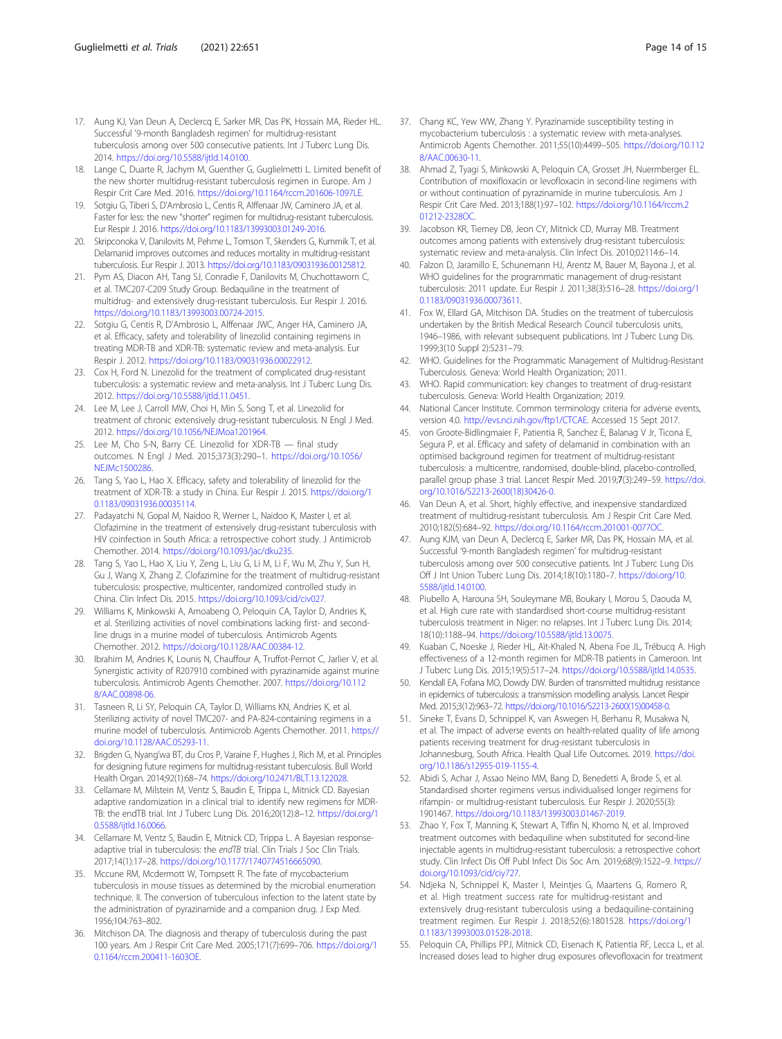- <span id="page-13-0"></span>17. Aung KJ, Van Deun A, Declercq E, Sarker MR, Das PK, Hossain MA, Rieder HL. Successful '9-month Bangladesh regimen' for multidrug-resistant tuberculosis among over 500 consecutive patients. Int J Tuberc Lung Dis. 2014. <https://doi.org/10.5588/ijtld.14.0100>.
- 18. Lange C, Duarte R, Jachym M, Guenther G, Guglielmetti L. Limited benefit of the new shorter multidrug-resistant tuberculosis regimen in Europe. Am J Respir Crit Care Med. 2016. [https://doi.org/10.1164/rccm.201606-1097LE.](https://doi.org/10.1164/rccm.201606-1097LE)
- 19. Sotgiu G, Tiberi S, D'Ambrosio L, Centis R, Alffenaar JW, Caminero JA, et al. Faster for less: the new "shorter" regimen for multidrug-resistant tuberculosis. Eur Respir J. 2016. <https://doi.org/10.1183/13993003.01249-2016>.
- 20. Skripconoka V, Danilovits M, Pehme L, Tomson T, Skenders G, Kummik T, et al. Delamanid improves outcomes and reduces mortality in multidrug-resistant tuberculosis. Eur Respir J. 2013. [https://doi.org/10.1183/09031936.00125812.](https://doi.org/10.1183/09031936.00125812)
- 21. Pym AS, Diacon AH, Tang SJ, Conradie F, Danilovits M, Chuchottaworn C, et al. TMC207-C209 Study Group. Bedaquiline in the treatment of multidrug- and extensively drug-resistant tuberculosis. Eur Respir J. 2016. <https://doi.org/10.1183/13993003.00724-2015>.
- 22. Sotgiu G, Centis R, D'Ambrosio L, Alffenaar JWC, Anger HA, Caminero JA, et al. Efficacy, safety and tolerability of linezolid containing regimens in treating MDR-TB and XDR-TB: systematic review and meta-analysis. Eur Respir J. 2012. [https://doi.org/10.1183/09031936.00022912.](https://doi.org/10.1183/09031936.00022912)
- 23. Cox H, Ford N. Linezolid for the treatment of complicated drug-resistant tuberculosis: a systematic review and meta-analysis. Int J Tuberc Lung Dis. 2012. <https://doi.org/10.5588/ijtld.11.0451>.
- 24. Lee M, Lee J, Carroll MW, Choi H, Min S, Song T, et al. Linezolid for treatment of chronic extensively drug-resistant tuberculosis. N Engl J Med. 2012. <https://doi.org/10.1056/NEJMoa1201964>.
- 25. Lee M, Cho S-N, Barry CE. Linezolid for XDR-TB final study outcomes. N Engl J Med. 2015;373(3):290–1. [https://doi.org/10.1056/](https://doi.org/10.1056/NEJMc1500286) [NEJMc1500286](https://doi.org/10.1056/NEJMc1500286).
- 26. Tang S, Yao L, Hao X. Efficacy, safety and tolerability of linezolid for the treatment of XDR-TB: a study in China. Eur Respir J. 2015. [https://doi.org/1](https://doi.org/10.1183/09031936.00035114) [0.1183/09031936.00035114](https://doi.org/10.1183/09031936.00035114).
- 27. Padayatchi N, Gopal M, Naidoo R, Werner L, Naidoo K, Master I, et al. Clofazimine in the treatment of extensively drug-resistant tuberculosis with HIV coinfection in South Africa: a retrospective cohort study. J Antimicrob Chemother. 2014. <https://doi.org/10.1093/jac/dku235>.
- 28. Tang S, Yao L, Hao X, Liu Y, Zeng L, Liu G, Li M, Li F, Wu M, Zhu Y, Sun H, Gu J, Wang X, Zhang Z. Clofazimine for the treatment of multidrug-resistant tuberculosis: prospective, multicenter, randomized controlled study in China. Clin Infect Dis. 2015. <https://doi.org/10.1093/cid/civ027>.
- 29. Williams K, Minkowski A, Amoabeng O, Peloquin CA, Taylor D, Andries K, et al. Sterilizing activities of novel combinations lacking first- and secondline drugs in a murine model of tuberculosis. Antimicrob Agents Chemother. 2012. [https://doi.org/10.1128/AAC.00384-12.](https://doi.org/10.1128/AAC.00384-12)
- 30. Ibrahim M, Andries K, Lounis N, Chauffour A, Truffot-Pernot C, Jarlier V, et al. Synergistic activity of R207910 combined with pyrazinamide against murine tuberculosis. Antimicrob Agents Chemother. 2007. [https://doi.org/10.112](https://doi.org/10.1128/AAC.00898-06) [8/AAC.00898-06](https://doi.org/10.1128/AAC.00898-06).
- 31. Tasneen R, Li SY, Peloquin CA, Taylor D, Williams KN, Andries K, et al. Sterilizing activity of novel TMC207- and PA-824-containing regimens in a murine model of tuberculosis. Antimicrob Agents Chemother. 2011. [https://](https://doi.org/10.1128/AAC.05293-11) [doi.org/10.1128/AAC.05293-11.](https://doi.org/10.1128/AAC.05293-11)
- 32. Brigden G, Nyang'wa BT, du Cros P, Varaine F, Hughes J, Rich M, et al. Principles for designing future regimens for multidrug-resistant tuberculosis. Bull World Health Organ. 2014;92(1):68–74. <https://doi.org/10.2471/BLT.13.122028>.
- 33. Cellamare M, Milstein M, Ventz S, Baudin E, Trippa L, Mitnick CD. Bayesian adaptive randomization in a clinical trial to identify new regimens for MDR-TB: the endTB trial. Int J Tuberc Lung Dis. 2016;20(12):8–12. [https://doi.org/1](https://doi.org/10.5588/ijtld.16.0066) [0.5588/ijtld.16.0066.](https://doi.org/10.5588/ijtld.16.0066)
- 34. Cellamare M, Ventz S, Baudin E, Mitnick CD, Trippa L. A Bayesian responseadaptive trial in tuberculosis: the endTB trial. Clin Trials J Soc Clin Trials. 2017;14(1):17–28. <https://doi.org/10.1177/1740774516665090>.
- 35. Mccune RM, Mcdermott W, Tompsett R. The fate of mycobacterium tuberculosis in mouse tissues as determined by the microbial enumeration technique. II. The conversion of tuberculous infection to the latent state by the administration of pyrazinamide and a companion drug. J Exp Med. 1956;104:763–802.
- 36. Mitchison DA. The diagnosis and therapy of tuberculosis during the past 100 years. Am J Respir Crit Care Med. 2005;171(7):699–706. [https://doi.org/1](https://doi.org/10.1164/rccm.200411-1603OE) [0.1164/rccm.200411-1603OE.](https://doi.org/10.1164/rccm.200411-1603OE)
- 37. Chang KC, Yew WW, Zhang Y. Pyrazinamide susceptibility testing in mycobacterium tuberculosis : a systematic review with meta-analyses. Antimicrob Agents Chemother. 2011;55(10):4499–505. [https://doi.org/10.112](https://doi.org/10.1128/AAC.00630-11) [8/AAC.00630-11](https://doi.org/10.1128/AAC.00630-11).
- 38. Ahmad Z, Tyagi S, Minkowski A, Peloquin CA, Grosset JH, Nuermberger EL. Contribution of moxifloxacin or levofloxacin in second-line regimens with or without continuation of pyrazinamide in murine tuberculosis. Am J Respir Crit Care Med. 2013;188(1):97–102. [https://doi.org/10.1164/rccm.2](https://doi.org/10.1164/rccm.201212-2328OC) [01212-2328OC](https://doi.org/10.1164/rccm.201212-2328OC).
- 39. Jacobson KR, Tierney DB, Jeon CY, Mitnick CD, Murray MB. Treatment outcomes among patients with extensively drug-resistant tuberculosis: systematic review and meta-analysis. Clin Infect Dis. 2010;02114:6–14.
- 40. Falzon D, Jaramillo E, Schunemann HJ, Arentz M, Bauer M, Bayona J, et al. WHO guidelines for the programmatic management of drug-resistant tuberculosis: 2011 update. Eur Respir J. 2011;38(3):516–28. [https://doi.org/1](https://doi.org/10.1183/09031936.00073611) [0.1183/09031936.00073611](https://doi.org/10.1183/09031936.00073611).
- 41. Fox W, Ellard GA, Mitchison DA. Studies on the treatment of tuberculosis undertaken by the British Medical Research Council tuberculosis units, 1946–1986, with relevant subsequent publications. Int J Tuberc Lung Dis. 1999;3(10 Suppl 2):S231–79.
- 42. WHO. Guidelines for the Programmatic Management of Multidrug-Resistant Tuberculosis. Geneva: World Health Organization; 2011.
- 43. WHO. Rapid communication: key changes to treatment of drug-resistant tuberculosis. Geneva: World Health Organization; 2019.
- Aational Cancer Institute. Common terminology criteria for adverse events, version 4.0. <http://evs.nci.nih.gov/ftp1/CTCAE>. Accessed 15 Sept 2017.
- 45. von Groote-Bidlingmaier F, Patientia R, Sanchez E, Balanag V Jr, Ticona E, Segura P, et al. Efficacy and safety of delamanid in combination with an optimised background regimen for treatment of multidrug-resistant tuberculosis: a multicentre, randomised, double-blind, placebo-controlled, parallel group phase 3 trial. Lancet Respir Med. 2019;7(3):249–59. [https://doi.](https://doi.org/10.1016/S2213-2600(18)30426-0) [org/10.1016/S2213-2600\(18\)30426-0.](https://doi.org/10.1016/S2213-2600(18)30426-0)
- 46. Van Deun A, et al. Short, highly effective, and inexpensive standardized treatment of multidrug-resistant tuberculosis. Am J Respir Crit Care Med. 2010;182(5):684–92. [https://doi.org/10.1164/rccm.201001-0077OC.](https://doi.org/10.1164/rccm.201001-0077OC)
- Aung KJM, van Deun A, Declercg E, Sarker MR, Das PK, Hossain MA, et al. Successful '9-month Bangladesh regimen' for multidrug-resistant tuberculosis among over 500 consecutive patients. Int J Tuberc Lung Dis Off J Int Union Tuberc Lung Dis. 2014;18(10):1180–7. [https://doi.org/10.](https://doi.org/10.5588/ijtld.14.0100) [5588/ijtld.14.0100](https://doi.org/10.5588/ijtld.14.0100).
- 48. Piubello A, Harouna SH, Souleymane MB, Boukary I, Morou S, Daouda M, et al. High cure rate with standardised short-course multidrug-resistant tuberculosis treatment in Niger: no relapses. Int J Tuberc Lung Dis. 2014; 18(10):1188–94. <https://doi.org/10.5588/ijtld.13.0075>.
- 49. Kuaban C, Noeske J, Rieder HL, Aït-Khaled N, Abena Foe JL, Trébucq A. High effectiveness of a 12-month regimen for MDR-TB patients in Cameroon. Int J Tuberc Lung Dis. 2015;19(5):517–24. <https://doi.org/10.5588/ijtld.14.0535>.
- 50. Kendall EA, Fofana MO, Dowdy DW. Burden of transmitted multidrug resistance in epidemics of tuberculosis: a transmission modelling analysis. Lancet Respir Med. 2015;3(12):963–72. [https://doi.org/10.1016/S2213-2600\(15\)00458-0](https://doi.org/10.1016/S2213-2600(15)00458-0).
- 51. Sineke T, Evans D, Schnippel K, van Aswegen H, Berhanu R, Musakwa N, et al. The impact of adverse events on health-related quality of life among patients receiving treatment for drug-resistant tuberculosis in Johannesburg, South Africa. Health Qual Life Outcomes. 2019. [https://doi.](https://doi.org/10.1186/s12955-019-1155-4) [org/10.1186/s12955-019-1155-4](https://doi.org/10.1186/s12955-019-1155-4).
- 52. Abidi S, Achar J, Assao Neino MM, Bang D, Benedetti A, Brode S, et al. Standardised shorter regimens versus individualised longer regimens for rifampin- or multidrug-resistant tuberculosis. Eur Respir J. 2020;55(3): 1901467. <https://doi.org/10.1183/13993003.01467-2019>.
- 53. Zhao Y, Fox T, Manning K, Stewart A, Tiffin N, Khomo N, et al. Improved treatment outcomes with bedaquiline when substituted for second-line injectable agents in multidrug-resistant tuberculosis: a retrospective cohort study. Clin Infect Dis Off Publ Infect Dis Soc Am. 2019;68(9):1522–9. [https://](https://doi.org/10.1093/cid/ciy727) [doi.org/10.1093/cid/ciy727](https://doi.org/10.1093/cid/ciy727).
- 54. Ndjeka N, Schnippel K, Master I, Meintjes G, Maartens G, Romero R, et al. High treatment success rate for multidrug-resistant and extensively drug-resistant tuberculosis using a bedaquiline-containing treatment regimen. Eur Respir J. 2018;52(6):1801528. [https://doi.org/1](https://doi.org/10.1183/13993003.01528-2018) [0.1183/13993003.01528-2018](https://doi.org/10.1183/13993003.01528-2018).
- 55. Peloquin CA, Phillips PPJ, Mitnick CD, Eisenach K, Patientia RF, Lecca L, et al. Increased doses lead to higher drug exposures oflevofloxacin for treatment